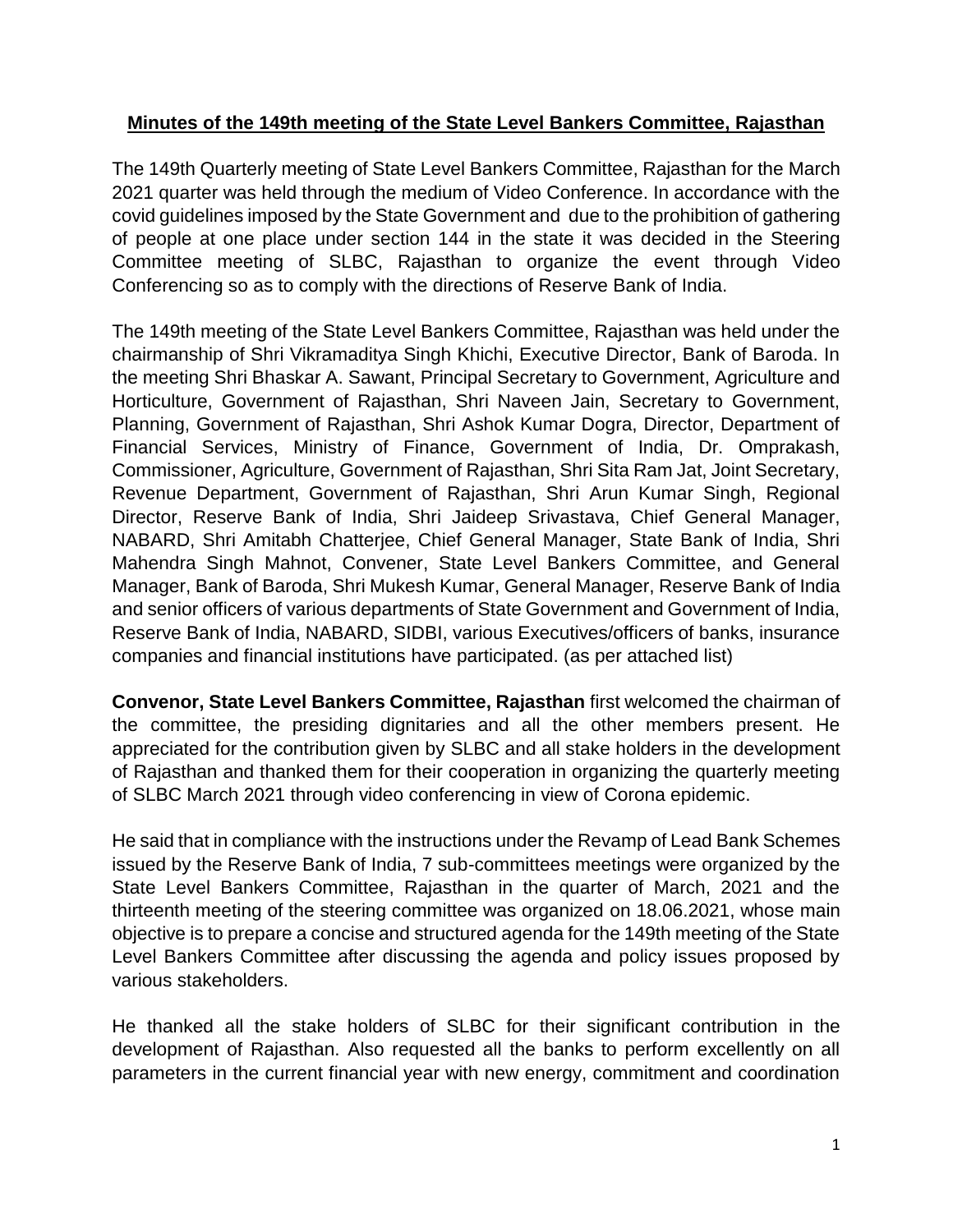#### **Minutes of the 149th meeting of the State Level Bankers Committee, Rajasthan**

The 149th Quarterly meeting of State Level Bankers Committee, Rajasthan for the March 2021 quarter was held through the medium of Video Conference. In accordance with the covid guidelines imposed by the State Government and due to the prohibition of gathering of people at one place under section 144 in the state it was decided in the Steering Committee meeting of SLBC, Rajasthan to organize the event through Video Conferencing so as to comply with the directions of Reserve Bank of India.

The 149th meeting of the State Level Bankers Committee, Rajasthan was held under the chairmanship of Shri Vikramaditya Singh Khichi, Executive Director, Bank of Baroda. In the meeting Shri Bhaskar A. Sawant, Principal Secretary to Government, Agriculture and Horticulture, Government of Rajasthan, Shri Naveen Jain, Secretary to Government, Planning, Government of Rajasthan, Shri Ashok Kumar Dogra, Director, Department of Financial Services, Ministry of Finance, Government of India, Dr. Omprakash, Commissioner, Agriculture, Government of Rajasthan, Shri Sita Ram Jat, Joint Secretary, Revenue Department, Government of Rajasthan, Shri Arun Kumar Singh, Regional Director, Reserve Bank of India, Shri Jaideep Srivastava, Chief General Manager, NABARD, Shri Amitabh Chatterjee, Chief General Manager, State Bank of India, Shri Mahendra Singh Mahnot, Convener, State Level Bankers Committee, and General Manager, Bank of Baroda, Shri Mukesh Kumar, General Manager, Reserve Bank of India and senior officers of various departments of State Government and Government of India, Reserve Bank of India, NABARD, SIDBI, various Executives/officers of banks, insurance companies and financial institutions have participated. (as per attached list)

**Convenor, State Level Bankers Committee, Rajasthan** first welcomed the chairman of the committee, the presiding dignitaries and all the other members present. He appreciated for the contribution given by SLBC and all stake holders in the development of Rajasthan and thanked them for their cooperation in organizing the quarterly meeting of SLBC March 2021 through video conferencing in view of Corona epidemic.

He said that in compliance with the instructions under the Revamp of Lead Bank Schemes issued by the Reserve Bank of India, 7 sub-committees meetings were organized by the State Level Bankers Committee, Rajasthan in the quarter of March, 2021 and the thirteenth meeting of the steering committee was organized on 18.06.2021, whose main objective is to prepare a concise and structured agenda for the 149th meeting of the State Level Bankers Committee after discussing the agenda and policy issues proposed by various stakeholders.

He thanked all the stake holders of SLBC for their significant contribution in the development of Rajasthan. Also requested all the banks to perform excellently on all parameters in the current financial year with new energy, commitment and coordination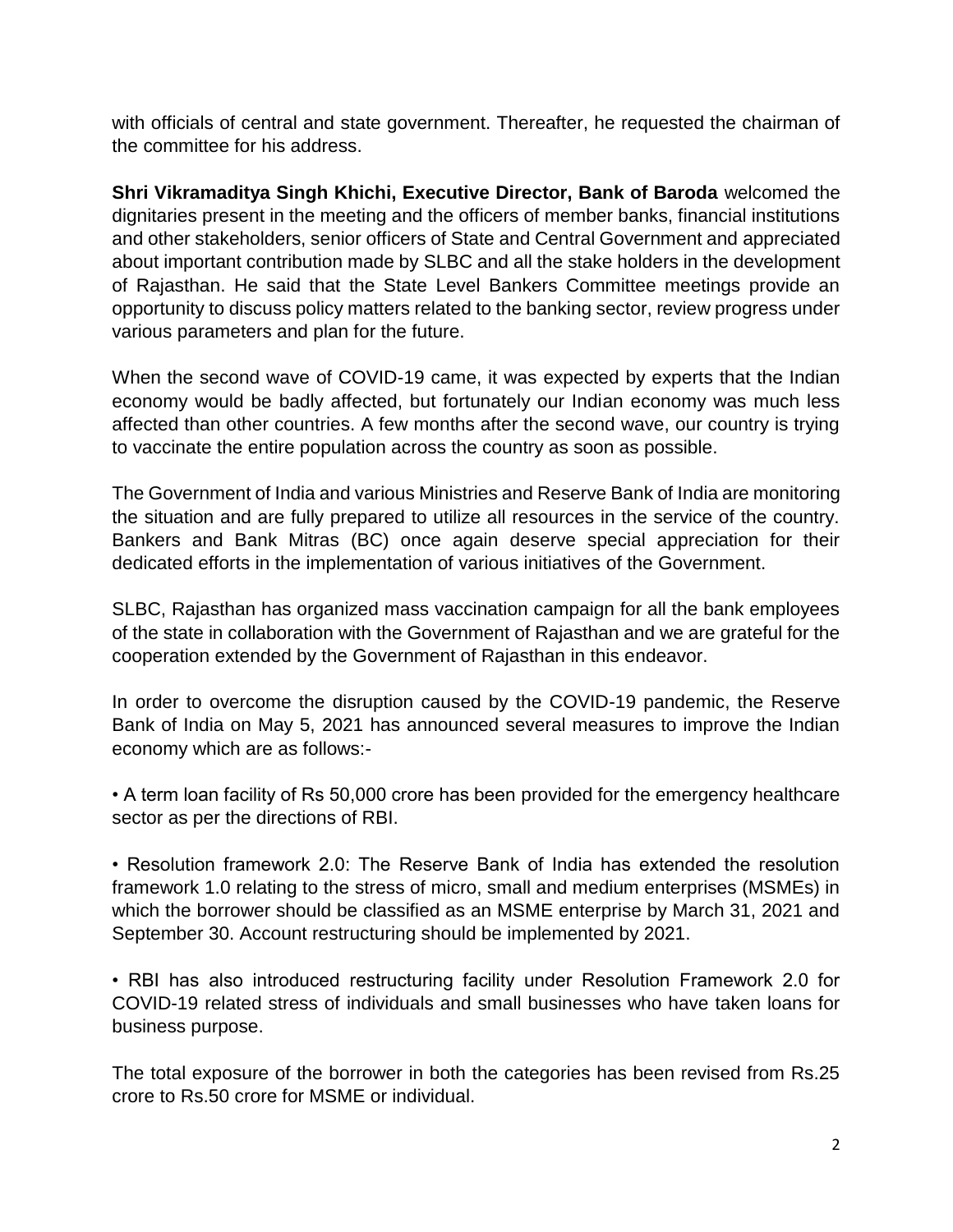with officials of central and state government. Thereafter, he requested the chairman of the committee for his address.

**Shri Vikramaditya Singh Khichi, Executive Director, Bank of Baroda** welcomed the dignitaries present in the meeting and the officers of member banks, financial institutions and other stakeholders, senior officers of State and Central Government and appreciated about important contribution made by SLBC and all the stake holders in the development of Rajasthan. He said that the State Level Bankers Committee meetings provide an opportunity to discuss policy matters related to the banking sector, review progress under various parameters and plan for the future.

When the second wave of COVID-19 came, it was expected by experts that the Indian economy would be badly affected, but fortunately our Indian economy was much less affected than other countries. A few months after the second wave, our country is trying to vaccinate the entire population across the country as soon as possible.

The Government of India and various Ministries and Reserve Bank of India are monitoring the situation and are fully prepared to utilize all resources in the service of the country. Bankers and Bank Mitras (BC) once again deserve special appreciation for their dedicated efforts in the implementation of various initiatives of the Government.

SLBC, Rajasthan has organized mass vaccination campaign for all the bank employees of the state in collaboration with the Government of Rajasthan and we are grateful for the cooperation extended by the Government of Rajasthan in this endeavor.

In order to overcome the disruption caused by the COVID-19 pandemic, the Reserve Bank of India on May 5, 2021 has announced several measures to improve the Indian economy which are as follows:-

• A term loan facility of Rs 50,000 crore has been provided for the emergency healthcare sector as per the directions of RBI.

• Resolution framework 2.0: The Reserve Bank of India has extended the resolution framework 1.0 relating to the stress of micro, small and medium enterprises (MSMEs) in which the borrower should be classified as an MSME enterprise by March 31, 2021 and September 30. Account restructuring should be implemented by 2021.

• RBI has also introduced restructuring facility under Resolution Framework 2.0 for COVID-19 related stress of individuals and small businesses who have taken loans for business purpose.

The total exposure of the borrower in both the categories has been revised from Rs.25 crore to Rs.50 crore for MSME or individual.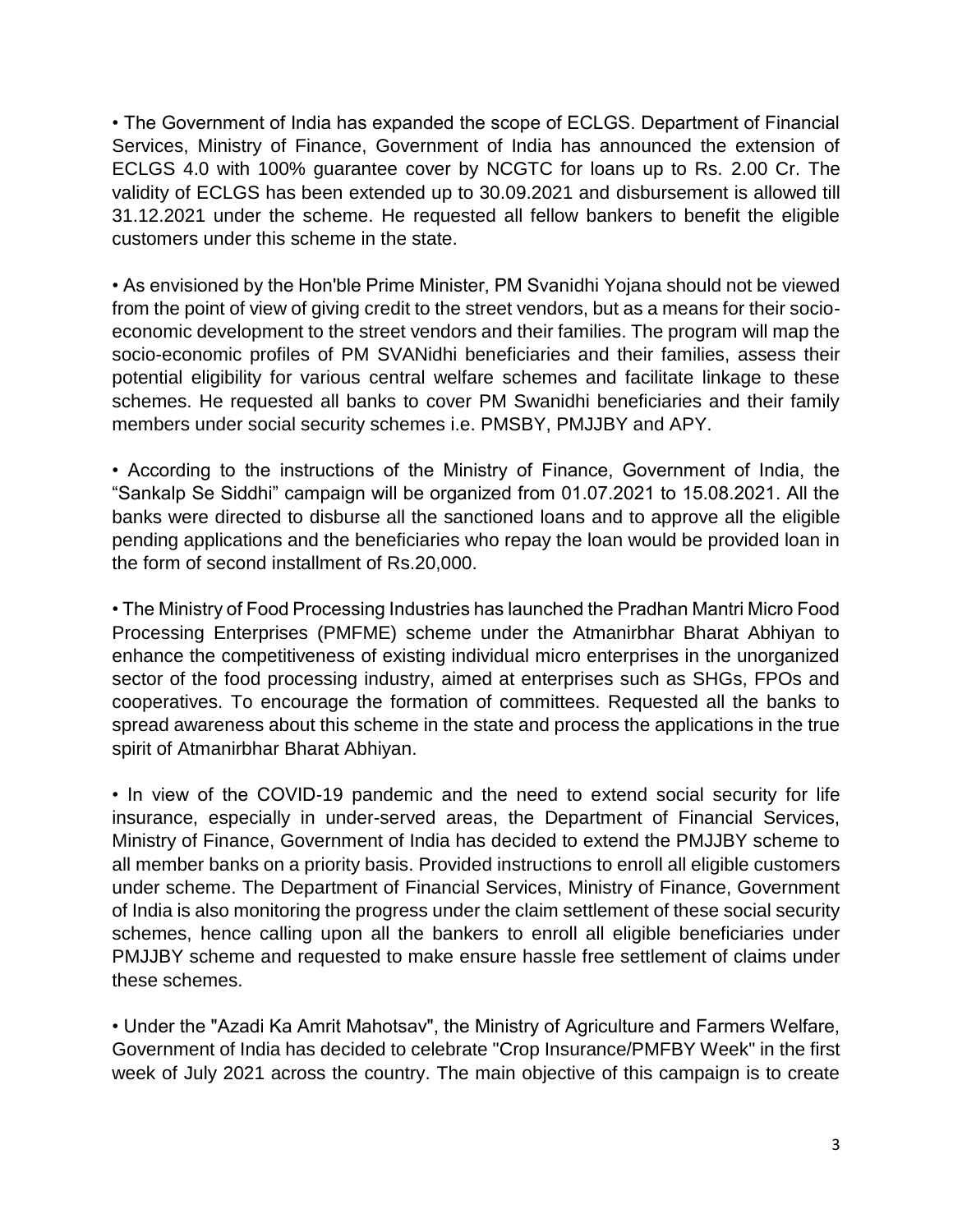• The Government of India has expanded the scope of ECLGS. Department of Financial Services, Ministry of Finance, Government of India has announced the extension of ECLGS 4.0 with 100% guarantee cover by NCGTC for loans up to Rs. 2.00 Cr. The validity of ECLGS has been extended up to 30.09.2021 and disbursement is allowed till 31.12.2021 under the scheme. He requested all fellow bankers to benefit the eligible customers under this scheme in the state.

• As envisioned by the Hon'ble Prime Minister, PM Svanidhi Yojana should not be viewed from the point of view of giving credit to the street vendors, but as a means for their socioeconomic development to the street vendors and their families. The program will map the socio-economic profiles of PM SVANidhi beneficiaries and their families, assess their potential eligibility for various central welfare schemes and facilitate linkage to these schemes. He requested all banks to cover PM Swanidhi beneficiaries and their family members under social security schemes i.e. PMSBY, PMJJBY and APY.

• According to the instructions of the Ministry of Finance, Government of India, the "Sankalp Se Siddhi" campaign will be organized from 01.07.2021 to 15.08.2021. All the banks were directed to disburse all the sanctioned loans and to approve all the eligible pending applications and the beneficiaries who repay the loan would be provided loan in the form of second installment of Rs.20,000.

• The Ministry of Food Processing Industries has launched the Pradhan Mantri Micro Food Processing Enterprises (PMFME) scheme under the Atmanirbhar Bharat Abhiyan to enhance the competitiveness of existing individual micro enterprises in the unorganized sector of the food processing industry, aimed at enterprises such as SHGs, FPOs and cooperatives. To encourage the formation of committees. Requested all the banks to spread awareness about this scheme in the state and process the applications in the true spirit of Atmanirbhar Bharat Abhiyan.

• In view of the COVID-19 pandemic and the need to extend social security for life insurance, especially in under-served areas, the Department of Financial Services, Ministry of Finance, Government of India has decided to extend the PMJJBY scheme to all member banks on a priority basis. Provided instructions to enroll all eligible customers under scheme. The Department of Financial Services, Ministry of Finance, Government of India is also monitoring the progress under the claim settlement of these social security schemes, hence calling upon all the bankers to enroll all eligible beneficiaries under PMJJBY scheme and requested to make ensure hassle free settlement of claims under these schemes.

• Under the "Azadi Ka Amrit Mahotsav", the Ministry of Agriculture and Farmers Welfare, Government of India has decided to celebrate "Crop Insurance/PMFBY Week" in the first week of July 2021 across the country. The main objective of this campaign is to create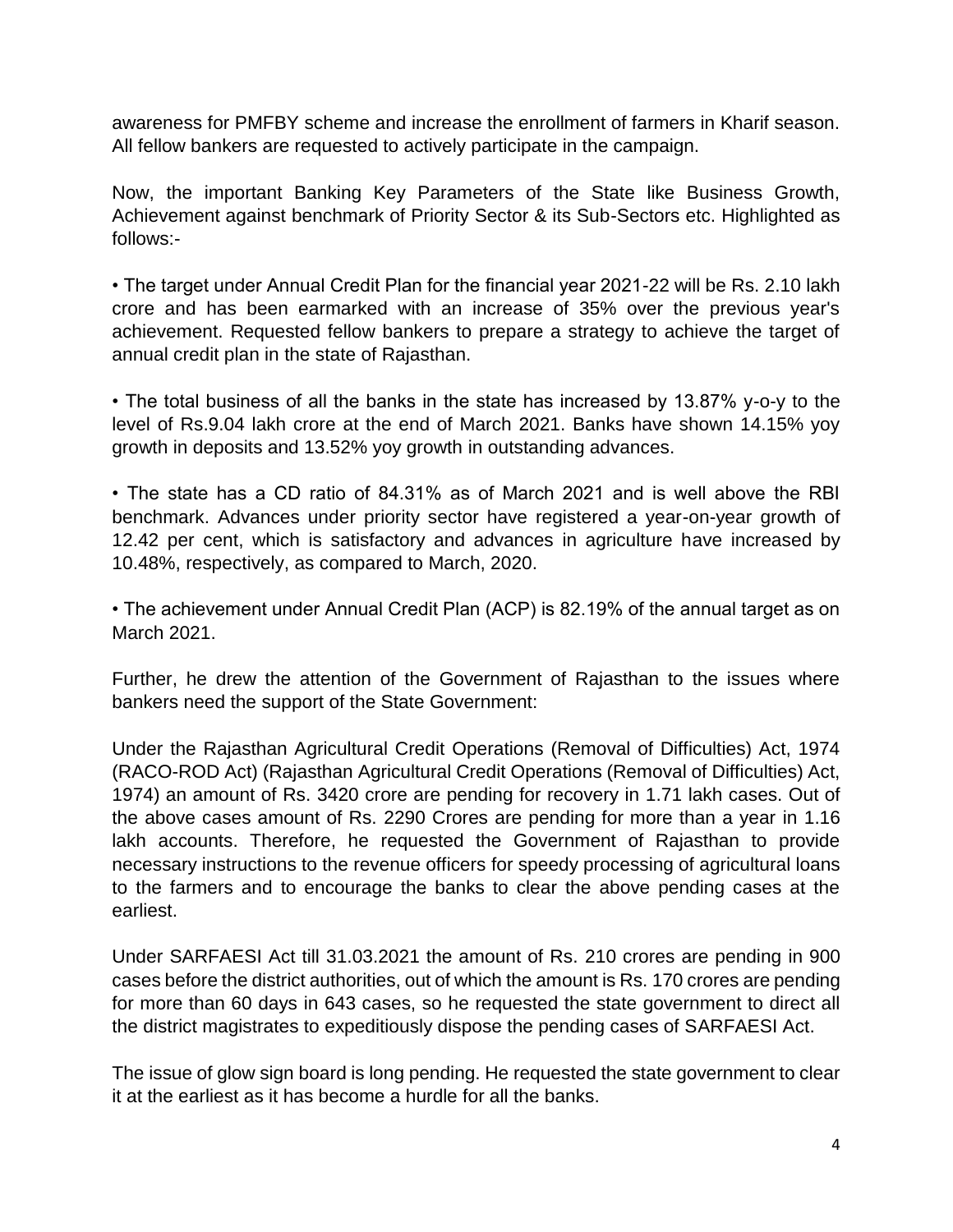awareness for PMFBY scheme and increase the enrollment of farmers in Kharif season. All fellow bankers are requested to actively participate in the campaign.

Now, the important Banking Key Parameters of the State like Business Growth, Achievement against benchmark of Priority Sector & its Sub-Sectors etc. Highlighted as follows:-

• The target under Annual Credit Plan for the financial year 2021-22 will be Rs. 2.10 lakh crore and has been earmarked with an increase of 35% over the previous year's achievement. Requested fellow bankers to prepare a strategy to achieve the target of annual credit plan in the state of Rajasthan.

• The total business of all the banks in the state has increased by 13.87% y-o-y to the level of Rs.9.04 lakh crore at the end of March 2021. Banks have shown 14.15% yoy growth in deposits and 13.52% yoy growth in outstanding advances.

• The state has a CD ratio of 84.31% as of March 2021 and is well above the RBI benchmark. Advances under priority sector have registered a year-on-year growth of 12.42 per cent, which is satisfactory and advances in agriculture have increased by 10.48%, respectively, as compared to March, 2020.

• The achievement under Annual Credit Plan (ACP) is 82.19% of the annual target as on March 2021.

Further, he drew the attention of the Government of Rajasthan to the issues where bankers need the support of the State Government:

Under the Rajasthan Agricultural Credit Operations (Removal of Difficulties) Act, 1974 (RACO-ROD Act) (Rajasthan Agricultural Credit Operations (Removal of Difficulties) Act, 1974) an amount of Rs. 3420 crore are pending for recovery in 1.71 lakh cases. Out of the above cases amount of Rs. 2290 Crores are pending for more than a year in 1.16 lakh accounts. Therefore, he requested the Government of Rajasthan to provide necessary instructions to the revenue officers for speedy processing of agricultural loans to the farmers and to encourage the banks to clear the above pending cases at the earliest.

Under SARFAESI Act till 31.03.2021 the amount of Rs. 210 crores are pending in 900 cases before the district authorities, out of which the amount is Rs. 170 crores are pending for more than 60 days in 643 cases, so he requested the state government to direct all the district magistrates to expeditiously dispose the pending cases of SARFAESI Act.

The issue of glow sign board is long pending. He requested the state government to clear it at the earliest as it has become a hurdle for all the banks.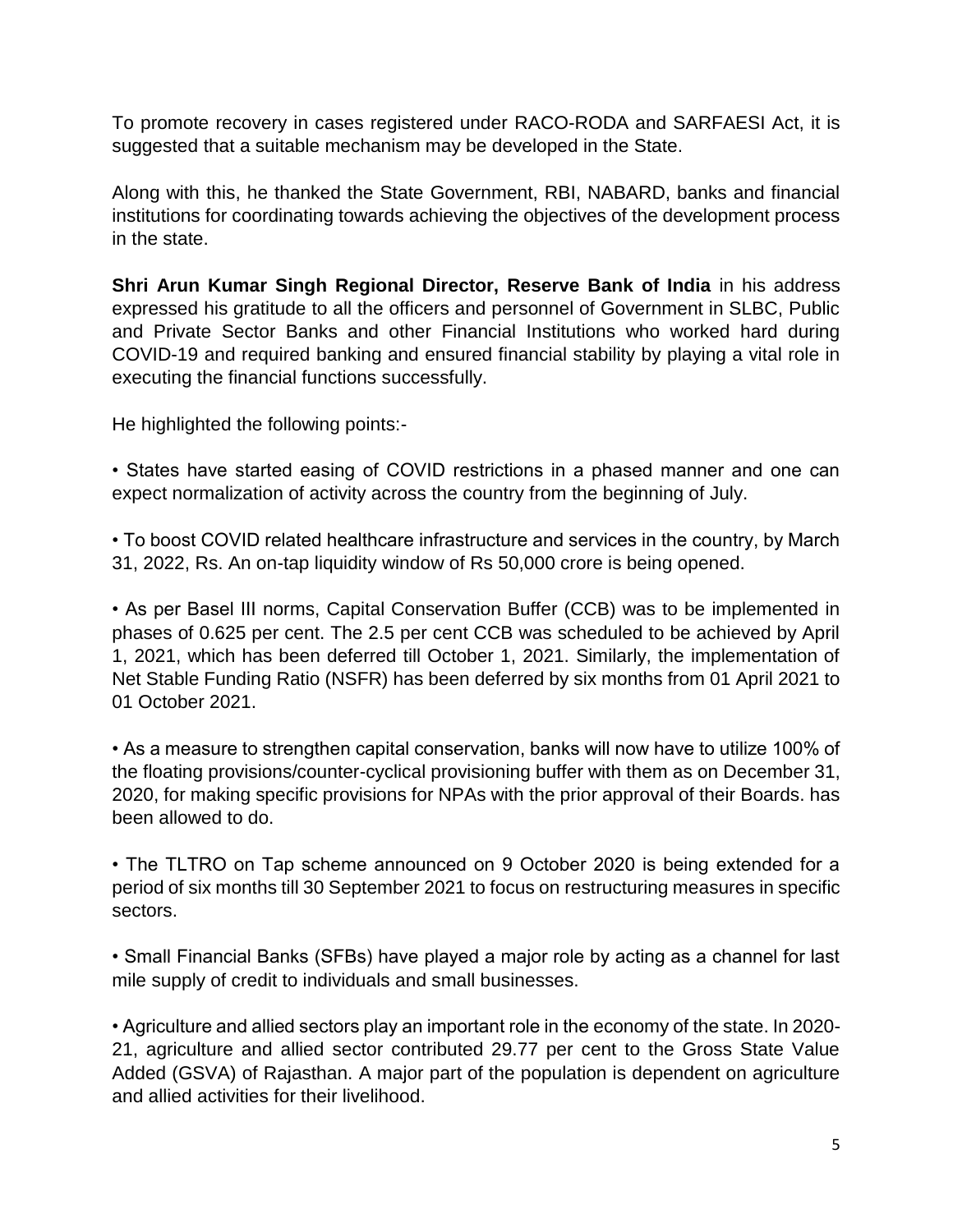To promote recovery in cases registered under RACO-RODA and SARFAESI Act, it is suggested that a suitable mechanism may be developed in the State.

Along with this, he thanked the State Government, RBI, NABARD, banks and financial institutions for coordinating towards achieving the objectives of the development process in the state.

**Shri Arun Kumar Singh Regional Director, Reserve Bank of India** in his address expressed his gratitude to all the officers and personnel of Government in SLBC, Public and Private Sector Banks and other Financial Institutions who worked hard during COVID-19 and required banking and ensured financial stability by playing a vital role in executing the financial functions successfully.

He highlighted the following points:-

• States have started easing of COVID restrictions in a phased manner and one can expect normalization of activity across the country from the beginning of July.

• To boost COVID related healthcare infrastructure and services in the country, by March 31, 2022, Rs. An on-tap liquidity window of Rs 50,000 crore is being opened.

• As per Basel III norms, Capital Conservation Buffer (CCB) was to be implemented in phases of 0.625 per cent. The 2.5 per cent CCB was scheduled to be achieved by April 1, 2021, which has been deferred till October 1, 2021. Similarly, the implementation of Net Stable Funding Ratio (NSFR) has been deferred by six months from 01 April 2021 to 01 October 2021.

• As a measure to strengthen capital conservation, banks will now have to utilize 100% of the floating provisions/counter-cyclical provisioning buffer with them as on December 31, 2020, for making specific provisions for NPAs with the prior approval of their Boards. has been allowed to do.

• The TLTRO on Tap scheme announced on 9 October 2020 is being extended for a period of six months till 30 September 2021 to focus on restructuring measures in specific sectors.

• Small Financial Banks (SFBs) have played a major role by acting as a channel for last mile supply of credit to individuals and small businesses.

• Agriculture and allied sectors play an important role in the economy of the state. In 2020- 21, agriculture and allied sector contributed 29.77 per cent to the Gross State Value Added (GSVA) of Rajasthan. A major part of the population is dependent on agriculture and allied activities for their livelihood.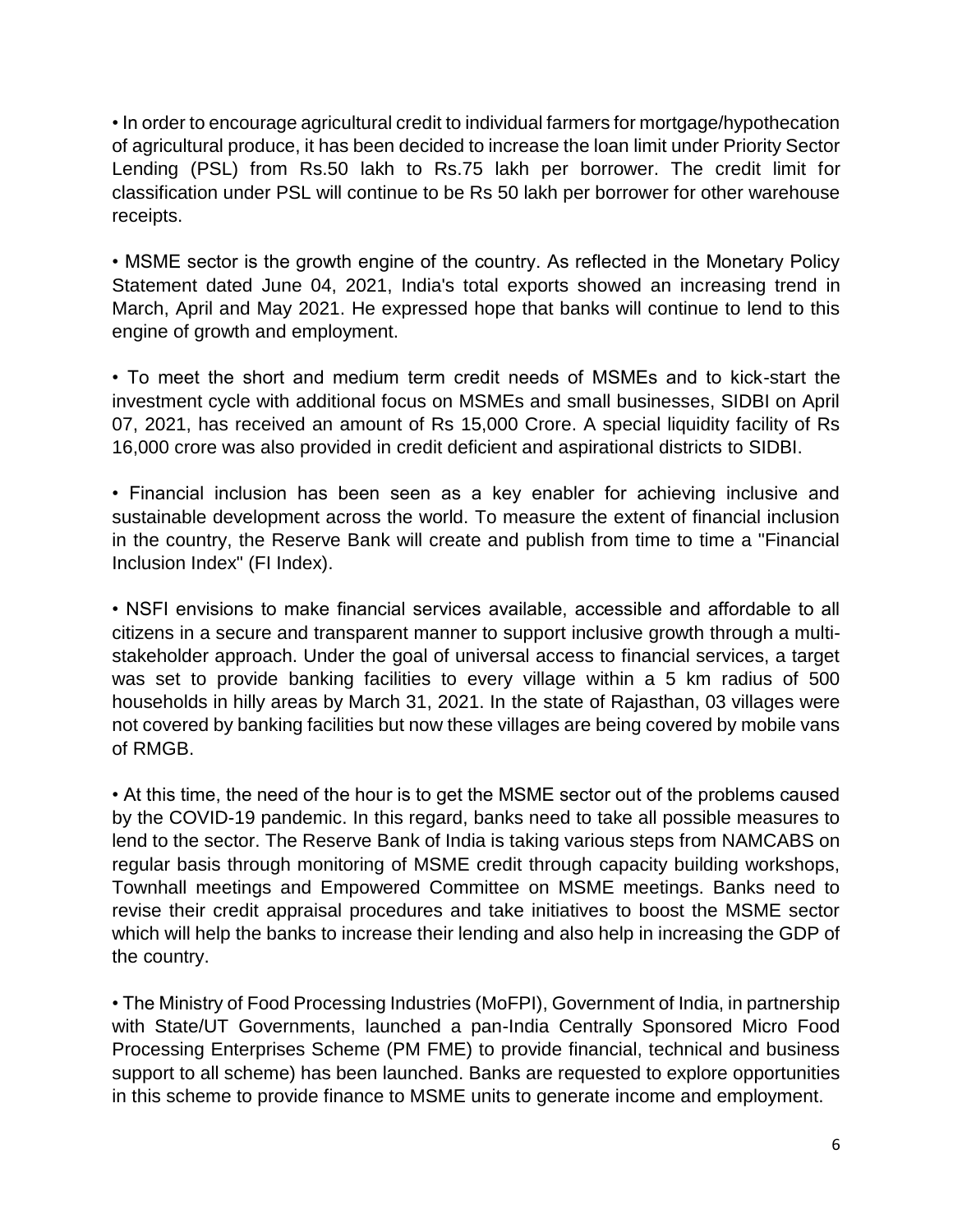• In order to encourage agricultural credit to individual farmers for mortgage/hypothecation of agricultural produce, it has been decided to increase the loan limit under Priority Sector Lending (PSL) from Rs.50 lakh to Rs.75 lakh per borrower. The credit limit for classification under PSL will continue to be Rs 50 lakh per borrower for other warehouse receipts.

• MSME sector is the growth engine of the country. As reflected in the Monetary Policy Statement dated June 04, 2021, India's total exports showed an increasing trend in March, April and May 2021. He expressed hope that banks will continue to lend to this engine of growth and employment.

• To meet the short and medium term credit needs of MSMEs and to kick-start the investment cycle with additional focus on MSMEs and small businesses, SIDBI on April 07, 2021, has received an amount of Rs 15,000 Crore. A special liquidity facility of Rs 16,000 crore was also provided in credit deficient and aspirational districts to SIDBI.

• Financial inclusion has been seen as a key enabler for achieving inclusive and sustainable development across the world. To measure the extent of financial inclusion in the country, the Reserve Bank will create and publish from time to time a "Financial Inclusion Index" (FI Index).

• NSFI envisions to make financial services available, accessible and affordable to all citizens in a secure and transparent manner to support inclusive growth through a multistakeholder approach. Under the goal of universal access to financial services, a target was set to provide banking facilities to every village within a 5 km radius of 500 households in hilly areas by March 31, 2021. In the state of Rajasthan, 03 villages were not covered by banking facilities but now these villages are being covered by mobile vans of RMGB.

• At this time, the need of the hour is to get the MSME sector out of the problems caused by the COVID-19 pandemic. In this regard, banks need to take all possible measures to lend to the sector. The Reserve Bank of India is taking various steps from NAMCABS on regular basis through monitoring of MSME credit through capacity building workshops, Townhall meetings and Empowered Committee on MSME meetings. Banks need to revise their credit appraisal procedures and take initiatives to boost the MSME sector which will help the banks to increase their lending and also help in increasing the GDP of the country.

• The Ministry of Food Processing Industries (MoFPI), Government of India, in partnership with State/UT Governments, launched a pan-India Centrally Sponsored Micro Food Processing Enterprises Scheme (PM FME) to provide financial, technical and business support to all scheme) has been launched. Banks are requested to explore opportunities in this scheme to provide finance to MSME units to generate income and employment.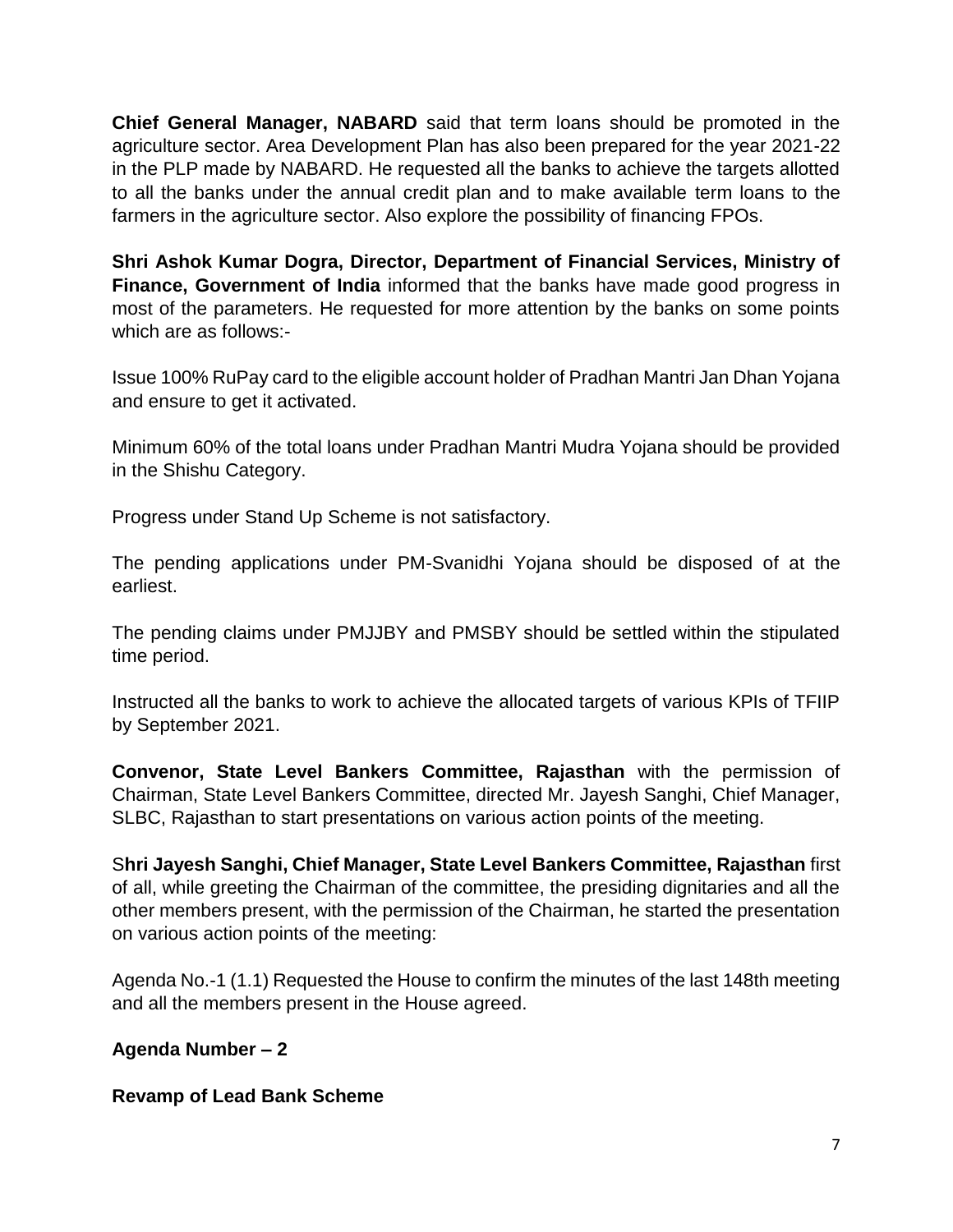**Chief General Manager, NABARD** said that term loans should be promoted in the agriculture sector. Area Development Plan has also been prepared for the year 2021-22 in the PLP made by NABARD. He requested all the banks to achieve the targets allotted to all the banks under the annual credit plan and to make available term loans to the farmers in the agriculture sector. Also explore the possibility of financing FPOs.

**Shri Ashok Kumar Dogra, Director, Department of Financial Services, Ministry of Finance, Government of India** informed that the banks have made good progress in most of the parameters. He requested for more attention by the banks on some points which are as follows:-

Issue 100% RuPay card to the eligible account holder of Pradhan Mantri Jan Dhan Yojana and ensure to get it activated.

Minimum 60% of the total loans under Pradhan Mantri Mudra Yojana should be provided in the Shishu Category.

Progress under Stand Up Scheme is not satisfactory.

The pending applications under PM-Svanidhi Yojana should be disposed of at the earliest.

The pending claims under PMJJBY and PMSBY should be settled within the stipulated time period.

Instructed all the banks to work to achieve the allocated targets of various KPIs of TFIIP by September 2021.

**Convenor, State Level Bankers Committee, Rajasthan** with the permission of Chairman, State Level Bankers Committee, directed Mr. Jayesh Sanghi, Chief Manager, SLBC, Rajasthan to start presentations on various action points of the meeting.

S**hri Jayesh Sanghi, Chief Manager, State Level Bankers Committee, Rajasthan** first of all, while greeting the Chairman of the committee, the presiding dignitaries and all the other members present, with the permission of the Chairman, he started the presentation on various action points of the meeting:

Agenda No.-1 (1.1) Requested the House to confirm the minutes of the last 148th meeting and all the members present in the House agreed.

# **Agenda Number – 2**

# **Revamp of Lead Bank Scheme**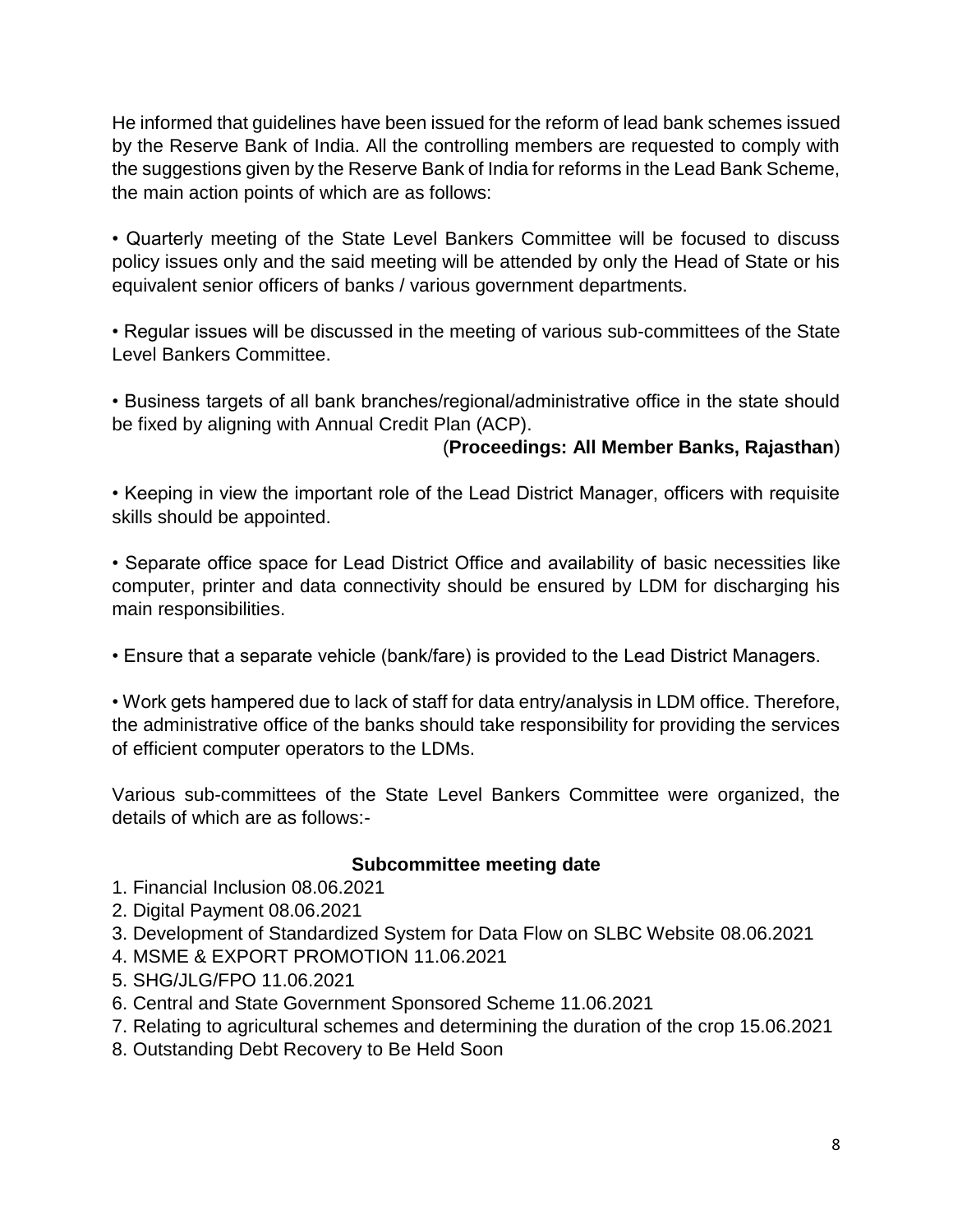He informed that guidelines have been issued for the reform of lead bank schemes issued by the Reserve Bank of India. All the controlling members are requested to comply with the suggestions given by the Reserve Bank of India for reforms in the Lead Bank Scheme, the main action points of which are as follows:

• Quarterly meeting of the State Level Bankers Committee will be focused to discuss policy issues only and the said meeting will be attended by only the Head of State or his equivalent senior officers of banks / various government departments.

• Regular issues will be discussed in the meeting of various sub-committees of the State Level Bankers Committee.

• Business targets of all bank branches/regional/administrative office in the state should be fixed by aligning with Annual Credit Plan (ACP).

# (**Proceedings: All Member Banks, Rajasthan**)

• Keeping in view the important role of the Lead District Manager, officers with requisite skills should be appointed.

• Separate office space for Lead District Office and availability of basic necessities like computer, printer and data connectivity should be ensured by LDM for discharging his main responsibilities.

• Ensure that a separate vehicle (bank/fare) is provided to the Lead District Managers.

• Work gets hampered due to lack of staff for data entry/analysis in LDM office. Therefore, the administrative office of the banks should take responsibility for providing the services of efficient computer operators to the LDMs.

Various sub-committees of the State Level Bankers Committee were organized, the details of which are as follows:-

#### **Subcommittee meeting date**

- 1. Financial Inclusion 08.06.2021
- 2. Digital Payment 08.06.2021
- 3. Development of Standardized System for Data Flow on SLBC Website 08.06.2021
- 4. MSME & EXPORT PROMOTION 11.06.2021
- 5. SHG/JLG/FPO 11.06.2021
- 6. Central and State Government Sponsored Scheme 11.06.2021
- 7. Relating to agricultural schemes and determining the duration of the crop 15.06.2021
- 8. Outstanding Debt Recovery to Be Held Soon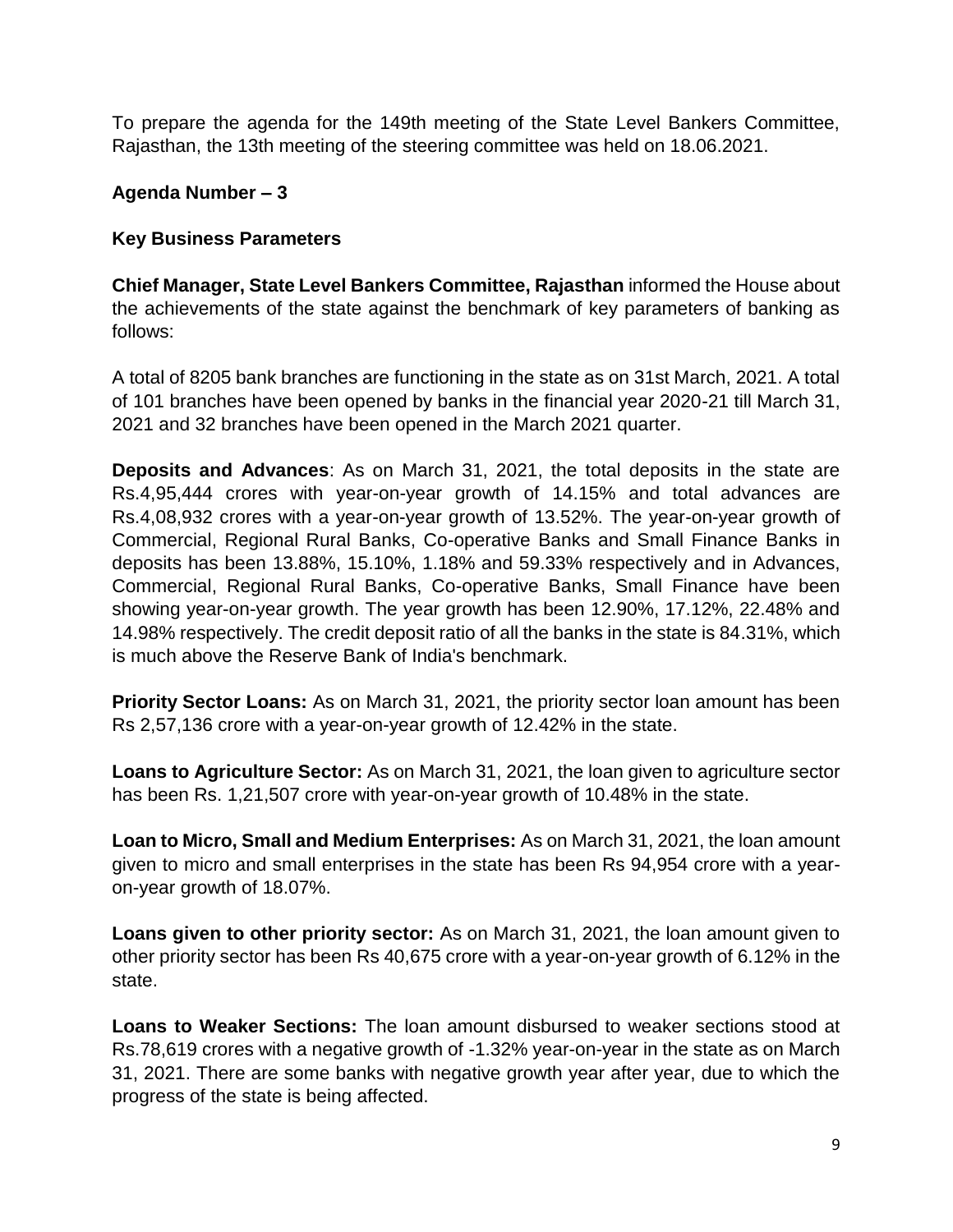To prepare the agenda for the 149th meeting of the State Level Bankers Committee, Rajasthan, the 13th meeting of the steering committee was held on 18.06.2021.

# **Agenda Number – 3**

#### **Key Business Parameters**

**Chief Manager, State Level Bankers Committee, Rajasthan** informed the House about the achievements of the state against the benchmark of key parameters of banking as follows:

A total of 8205 bank branches are functioning in the state as on 31st March, 2021. A total of 101 branches have been opened by banks in the financial year 2020-21 till March 31, 2021 and 32 branches have been opened in the March 2021 quarter.

**Deposits and Advances**: As on March 31, 2021, the total deposits in the state are Rs.4,95,444 crores with year-on-year growth of 14.15% and total advances are Rs.4,08,932 crores with a year-on-year growth of 13.52%. The year-on-year growth of Commercial, Regional Rural Banks, Co-operative Banks and Small Finance Banks in deposits has been 13.88%, 15.10%, 1.18% and 59.33% respectively and in Advances, Commercial, Regional Rural Banks, Co-operative Banks, Small Finance have been showing year-on-year growth. The year growth has been 12.90%, 17.12%, 22.48% and 14.98% respectively. The credit deposit ratio of all the banks in the state is 84.31%, which is much above the Reserve Bank of India's benchmark.

**Priority Sector Loans:** As on March 31, 2021, the priority sector loan amount has been Rs 2,57,136 crore with a year-on-year growth of 12.42% in the state.

**Loans to Agriculture Sector:** As on March 31, 2021, the loan given to agriculture sector has been Rs. 1,21,507 crore with year-on-year growth of 10.48% in the state.

**Loan to Micro, Small and Medium Enterprises:** As on March 31, 2021, the loan amount given to micro and small enterprises in the state has been Rs 94,954 crore with a yearon-year growth of 18.07%.

**Loans given to other priority sector:** As on March 31, 2021, the loan amount given to other priority sector has been Rs 40,675 crore with a year-on-year growth of 6.12% in the state.

**Loans to Weaker Sections:** The loan amount disbursed to weaker sections stood at Rs.78,619 crores with a negative growth of -1.32% year-on-year in the state as on March 31, 2021. There are some banks with negative growth year after year, due to which the progress of the state is being affected.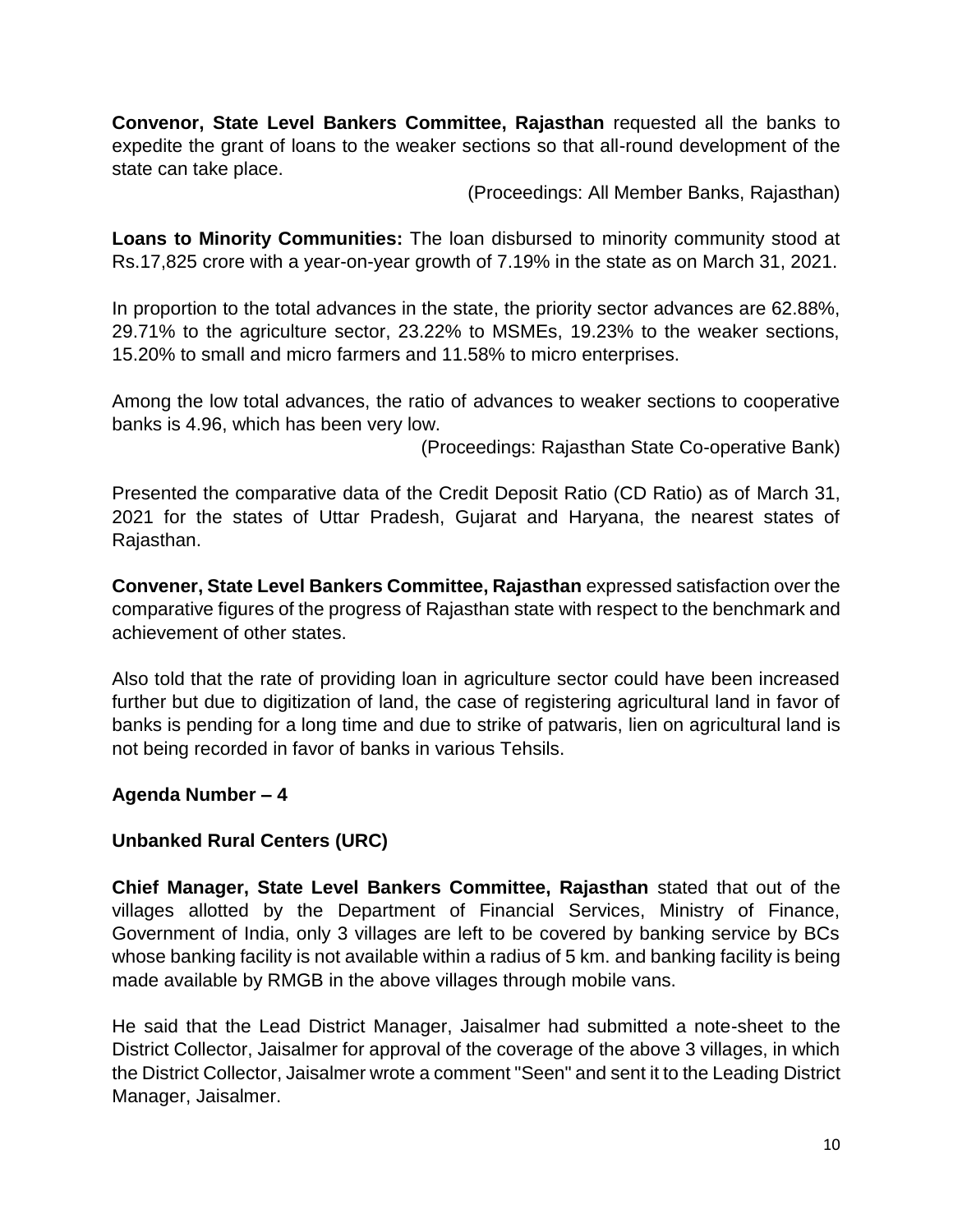**Convenor, State Level Bankers Committee, Rajasthan** requested all the banks to expedite the grant of loans to the weaker sections so that all-round development of the state can take place.

(Proceedings: All Member Banks, Rajasthan)

**Loans to Minority Communities:** The loan disbursed to minority community stood at Rs.17,825 crore with a year-on-year growth of 7.19% in the state as on March 31, 2021.

In proportion to the total advances in the state, the priority sector advances are 62.88%, 29.71% to the agriculture sector, 23.22% to MSMEs, 19.23% to the weaker sections, 15.20% to small and micro farmers and 11.58% to micro enterprises.

Among the low total advances, the ratio of advances to weaker sections to cooperative banks is 4.96, which has been very low.

(Proceedings: Rajasthan State Co-operative Bank)

Presented the comparative data of the Credit Deposit Ratio (CD Ratio) as of March 31, 2021 for the states of Uttar Pradesh, Gujarat and Haryana, the nearest states of Rajasthan.

**Convener, State Level Bankers Committee, Rajasthan** expressed satisfaction over the comparative figures of the progress of Rajasthan state with respect to the benchmark and achievement of other states.

Also told that the rate of providing loan in agriculture sector could have been increased further but due to digitization of land, the case of registering agricultural land in favor of banks is pending for a long time and due to strike of patwaris, lien on agricultural land is not being recorded in favor of banks in various Tehsils.

# **Agenda Number – 4**

# **Unbanked Rural Centers (URC)**

**Chief Manager, State Level Bankers Committee, Rajasthan** stated that out of the villages allotted by the Department of Financial Services, Ministry of Finance, Government of India, only 3 villages are left to be covered by banking service by BCs whose banking facility is not available within a radius of 5 km. and banking facility is being made available by RMGB in the above villages through mobile vans.

He said that the Lead District Manager, Jaisalmer had submitted a note-sheet to the District Collector, Jaisalmer for approval of the coverage of the above 3 villages, in which the District Collector, Jaisalmer wrote a comment "Seen" and sent it to the Leading District Manager, Jaisalmer.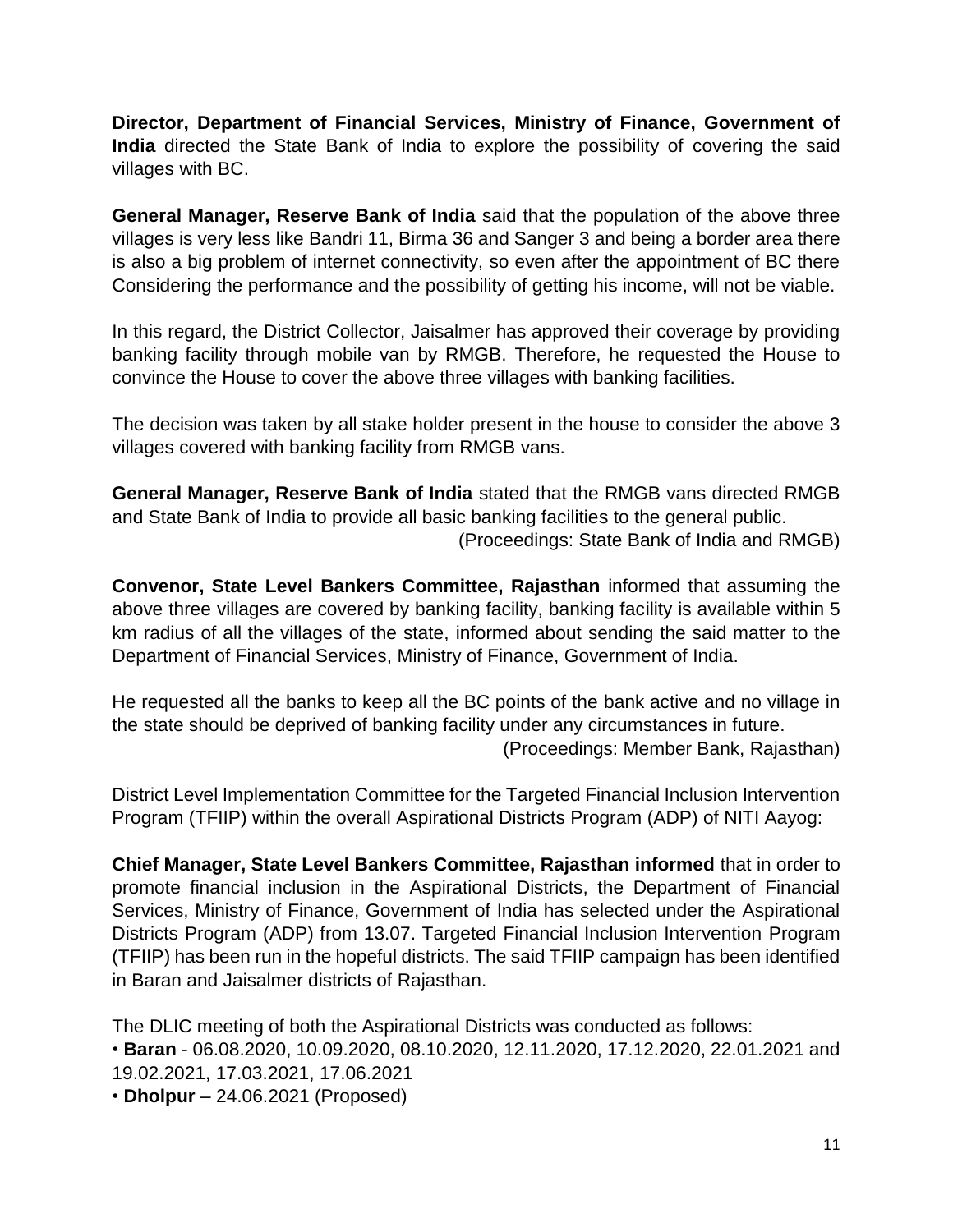**Director, Department of Financial Services, Ministry of Finance, Government of India** directed the State Bank of India to explore the possibility of covering the said villages with BC.

**General Manager, Reserve Bank of India** said that the population of the above three villages is very less like Bandri 11, Birma 36 and Sanger 3 and being a border area there is also a big problem of internet connectivity, so even after the appointment of BC there Considering the performance and the possibility of getting his income, will not be viable.

In this regard, the District Collector, Jaisalmer has approved their coverage by providing banking facility through mobile van by RMGB. Therefore, he requested the House to convince the House to cover the above three villages with banking facilities.

The decision was taken by all stake holder present in the house to consider the above 3 villages covered with banking facility from RMGB vans.

**General Manager, Reserve Bank of India** stated that the RMGB vans directed RMGB and State Bank of India to provide all basic banking facilities to the general public.

(Proceedings: State Bank of India and RMGB)

**Convenor, State Level Bankers Committee, Rajasthan** informed that assuming the above three villages are covered by banking facility, banking facility is available within 5 km radius of all the villages of the state, informed about sending the said matter to the Department of Financial Services, Ministry of Finance, Government of India.

He requested all the banks to keep all the BC points of the bank active and no village in the state should be deprived of banking facility under any circumstances in future.

(Proceedings: Member Bank, Rajasthan)

District Level Implementation Committee for the Targeted Financial Inclusion Intervention Program (TFIIP) within the overall Aspirational Districts Program (ADP) of NITI Aayog:

**Chief Manager, State Level Bankers Committee, Rajasthan informed** that in order to promote financial inclusion in the Aspirational Districts, the Department of Financial Services, Ministry of Finance, Government of India has selected under the Aspirational Districts Program (ADP) from 13.07. Targeted Financial Inclusion Intervention Program (TFIIP) has been run in the hopeful districts. The said TFIIP campaign has been identified in Baran and Jaisalmer districts of Rajasthan.

The DLIC meeting of both the Aspirational Districts was conducted as follows: • **Baran** - 06.08.2020, 10.09.2020, 08.10.2020, 12.11.2020, 17.12.2020, 22.01.2021 and 19.02.2021, 17.03.2021, 17.06.2021

• **Dholpur** – 24.06.2021 (Proposed)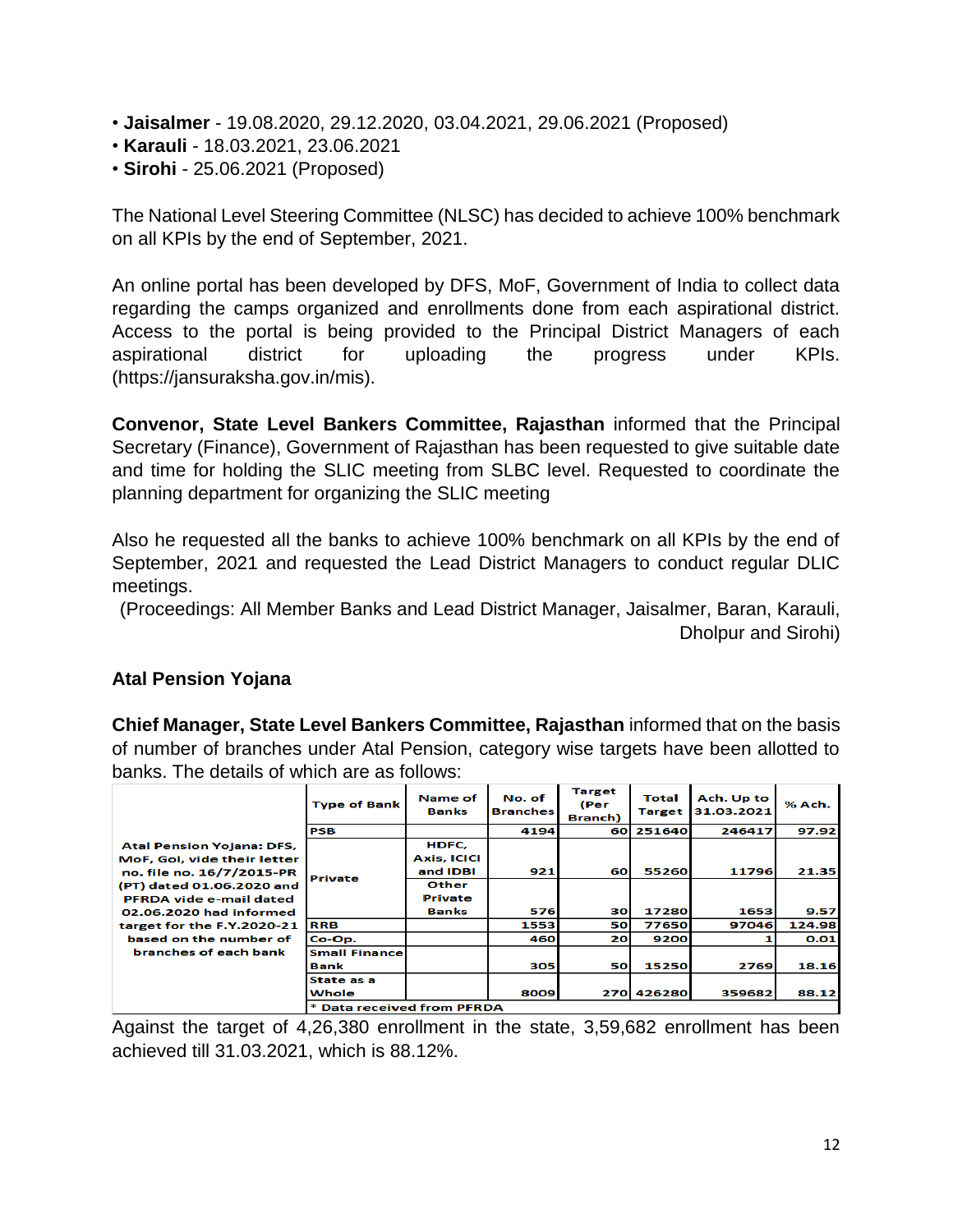- **Jaisalmer** 19.08.2020, 29.12.2020, 03.04.2021, 29.06.2021 (Proposed)
- **Karauli**  18.03.2021, 23.06.2021
- **Sirohi** 25.06.2021 (Proposed)

The National Level Steering Committee (NLSC) has decided to achieve 100% benchmark on all KPIs by the end of September, 2021.

An online portal has been developed by DFS, MoF, Government of India to collect data regarding the camps organized and enrollments done from each aspirational district. Access to the portal is being provided to the Principal District Managers of each aspirational district for uploading the progress under KPIs. (https://jansuraksha.gov.in/mis).

**Convenor, State Level Bankers Committee, Rajasthan** informed that the Principal Secretary (Finance), Government of Rajasthan has been requested to give suitable date and time for holding the SLIC meeting from SLBC level. Requested to coordinate the planning department for organizing the SLIC meeting

Also he requested all the banks to achieve 100% benchmark on all KPIs by the end of September, 2021 and requested the Lead District Managers to conduct regular DLIC meetings.

(Proceedings: All Member Banks and Lead District Manager, Jaisalmer, Baran, Karauli, Dholpur and Sirohi)

# **Atal Pension Yojana**

**Chief Manager, State Level Bankers Committee, Rajasthan** informed that on the basis of number of branches under Atal Pension, category wise targets have been allotted to banks. The details of which are as follows:

|                                                                 | <b>Type of Bank</b>             | Name of<br><b>Banks</b>     | No. of<br><b>Branches</b> | <b>Target</b><br>(Per<br><b>Branch</b> ) | Total<br><b>Target</b> | Ach. Up to<br>31.03.2021 | % Ach. |
|-----------------------------------------------------------------|---------------------------------|-----------------------------|---------------------------|------------------------------------------|------------------------|--------------------------|--------|
|                                                                 | <b>PSB</b>                      |                             | 4194                      | 60                                       | 251640                 | 246417                   | 97.92  |
| <b>Atal Pension Yojana: DFS,</b><br>MoF, GoI, vide their letter |                                 | HDFC,<br><b>Axis, ICICI</b> |                           |                                          |                        |                          |        |
| no. file no. 16/7/2015-PR                                       |                                 | and IDBI                    | 921                       | 60                                       | 55260                  | 11796                    | 21.35  |
| (PT) dated 01.06.2020 and<br>PFRDA vide e-mail dated            | <b>Private</b>                  | <b>Other</b><br>Private     |                           |                                          |                        |                          |        |
| 02.06.2020 had informed                                         |                                 | <b>Banks</b>                | <b>576</b>                | 30                                       | 17280                  | 1653                     | 9.57   |
| target for the F.Y.2020-21                                      | <b>RRB</b>                      |                             | 1553                      | 50                                       | 77650                  | 97046                    | 124.98 |
| based on the number of                                          | Co-Op.                          |                             | 460l                      | 20                                       | 9200                   |                          | 0.01   |
| branches of each bank                                           | <b>Small Finance</b><br>Bank    |                             | 305                       | 50                                       | 15250                  | 2769                     | 18.16  |
|                                                                 | State as a<br>Whole             |                             | 8009                      |                                          | 270 426280             | 359682                   | 88.12  |
|                                                                 | <b>Data received from PFRDA</b> |                             |                           |                                          |                        |                          |        |

Against the target of 4,26,380 enrollment in the state, 3,59,682 enrollment has been achieved till 31.03.2021, which is 88.12%.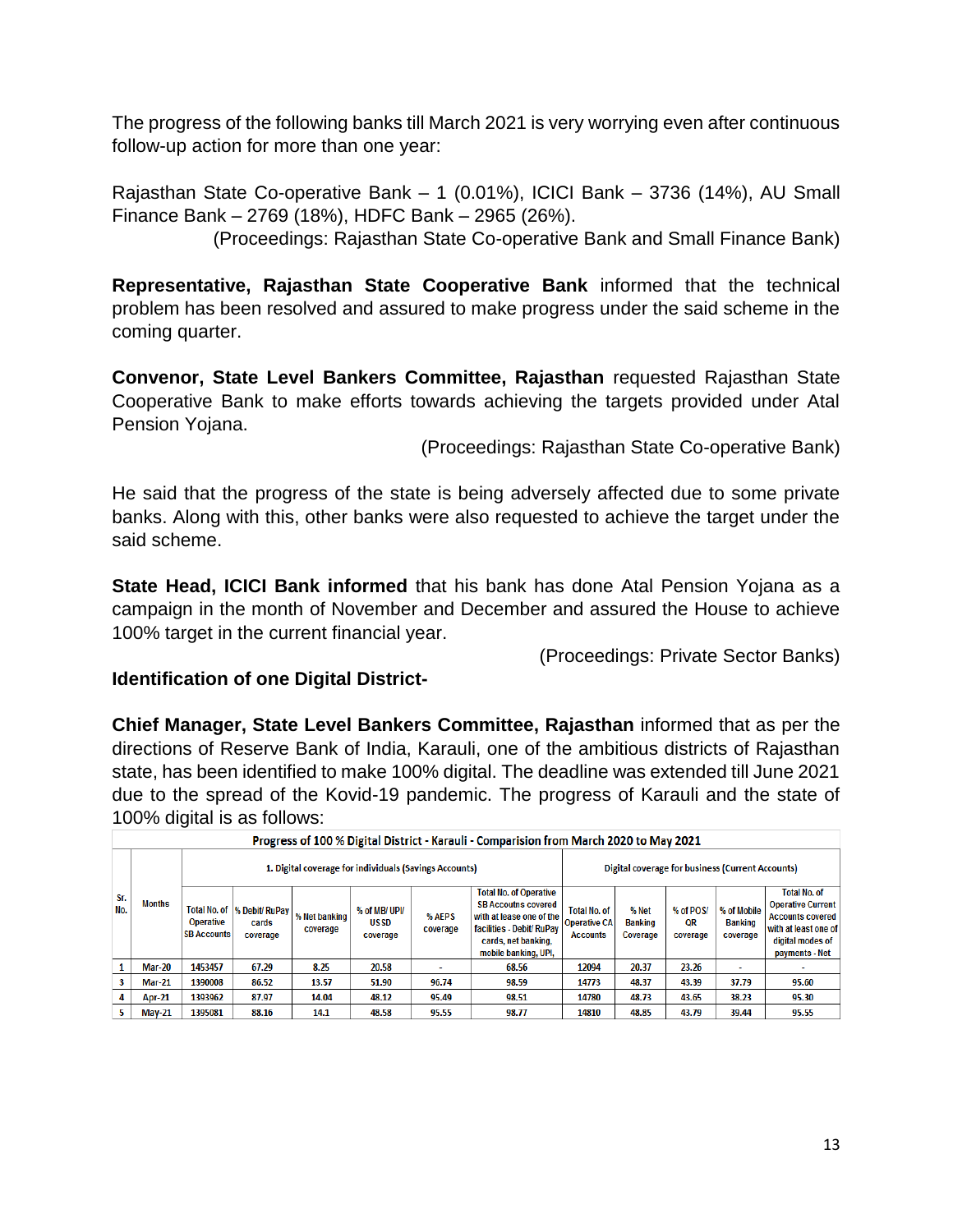The progress of the following banks till March 2021 is very worrying even after continuous follow-up action for more than one year:

Rajasthan State Co-operative Bank – 1 (0.01%), ICICI Bank – 3736 (14%), AU Small Finance Bank – 2769 (18%), HDFC Bank – 2965 (26%).

(Proceedings: Rajasthan State Co-operative Bank and Small Finance Bank)

**Representative, Rajasthan State Cooperative Bank** informed that the technical problem has been resolved and assured to make progress under the said scheme in the coming quarter.

**Convenor, State Level Bankers Committee, Rajasthan** requested Rajasthan State Cooperative Bank to make efforts towards achieving the targets provided under Atal Pension Yojana.

(Proceedings: Rajasthan State Co-operative Bank)

He said that the progress of the state is being adversely affected due to some private banks. Along with this, other banks were also requested to achieve the target under the said scheme.

**State Head, ICICI Bank informed** that his bank has done Atal Pension Yojana as a campaign in the month of November and December and assured the House to achieve 100% target in the current financial year.

(Proceedings: Private Sector Banks)

#### **Identification of one Digital District-**

**Chief Manager, State Level Bankers Committee, Rajasthan** informed that as per the directions of Reserve Bank of India, Karauli, one of the ambitious districts of Rajasthan state, has been identified to make 100% digital. The deadline was extended till June 2021 due to the spread of the Kovid-19 pandemic. The progress of Karauli and the state of 100% digital is as follows:

|            | Progress of 100 % Digital District - Karauli - Comparision from March 2020 to May 2021 |                                 |                                                        |                           |                                         |                    |                                                                                                                                                                    |                                                               |                                     |                                                  |                                           |                                                                                                                                          |  |  |
|------------|----------------------------------------------------------------------------------------|---------------------------------|--------------------------------------------------------|---------------------------|-----------------------------------------|--------------------|--------------------------------------------------------------------------------------------------------------------------------------------------------------------|---------------------------------------------------------------|-------------------------------------|--------------------------------------------------|-------------------------------------------|------------------------------------------------------------------------------------------------------------------------------------------|--|--|
|            |                                                                                        |                                 | 1. Digital coverage for individuals (Savings Accounts) |                           |                                         |                    |                                                                                                                                                                    |                                                               |                                     | Digital coverage for business (Current Accounts) |                                           |                                                                                                                                          |  |  |
| Sr.<br>No. | <b>Months</b>                                                                          | Operative<br><b>SB Accounts</b> | Total No. of  % Debit/ RuPay  <br>cards<br>coverage    | % Net banking<br>coverage | % of MB/UPI/<br><b>USSD</b><br>coverage | % AEPS<br>coverage | <b>Total No. of Operative</b><br><b>SB Accoutns covered</b><br>with at lease one of the<br>facilities - Debit/RuPay<br>cards, net banking,<br>mobile banking, UPI. | <b>Total No. of</b><br><b>Operative CA</b><br><b>Accounts</b> | % Net<br><b>Banking</b><br>Coverage | % of POS/<br>QR<br>coverage                      | % of Mobile<br><b>Banking</b><br>coverage | <b>Total No. of</b><br><b>Operative Current</b><br><b>Accounts covered</b><br>with at least one of<br>digital modes of<br>payments - Net |  |  |
|            | <b>Mar-20</b>                                                                          | 1453457                         | 67.29                                                  | 8.25                      | 20.58                                   |                    | 68.56                                                                                                                                                              | 12094                                                         | 20.37                               | 23.26                                            | ٠                                         |                                                                                                                                          |  |  |
| 3          | <b>Mar-21</b>                                                                          | 1390008                         | 86.52                                                  | 13.57                     | 51.90                                   | 96.74              | 98.59                                                                                                                                                              | 14773                                                         | 48.37                               | 43.39                                            | 37.79                                     | 95.60                                                                                                                                    |  |  |
|            | Apr-21                                                                                 | 1393962                         | 87.97                                                  | 14.04                     | 48.12                                   | 95.49              | 98.51                                                                                                                                                              | 14780                                                         | 48.73                               | 43.65                                            | 38.23                                     | 95.30                                                                                                                                    |  |  |
|            | $Mav-21$                                                                               | 1395081                         | 88.16                                                  | 14.1                      | 48.58                                   | 95.55              | 98.77                                                                                                                                                              | 14810                                                         | 48.85                               | 43.79                                            | 39.44                                     | 95.55                                                                                                                                    |  |  |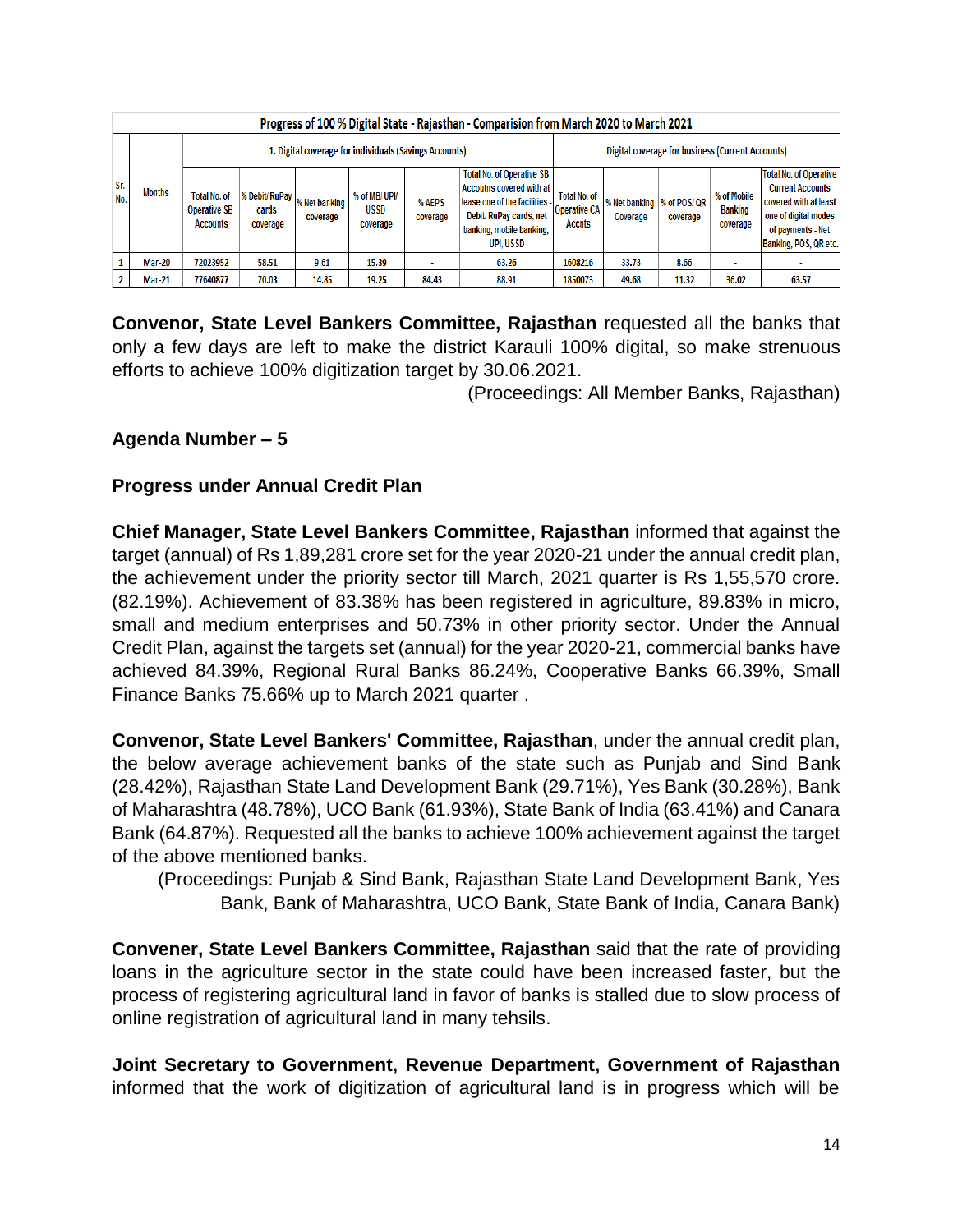|            | Progress of 100 % Digital State - Rajasthan - Comparision from March 2020 to March 2021 |                                                               |                                     |                           |                                          |                    |                                                                                                                                                                 |                                                             |                                         |          |                                           |                                                                                                                                                         |  |
|------------|-----------------------------------------------------------------------------------------|---------------------------------------------------------------|-------------------------------------|---------------------------|------------------------------------------|--------------------|-----------------------------------------------------------------------------------------------------------------------------------------------------------------|-------------------------------------------------------------|-----------------------------------------|----------|-------------------------------------------|---------------------------------------------------------------------------------------------------------------------------------------------------------|--|
|            | 1. Digital coverage for individuals (Savings Accounts)                                  |                                                               |                                     |                           |                                          |                    |                                                                                                                                                                 | Digital coverage for business (Current Accounts)            |                                         |          |                                           |                                                                                                                                                         |  |
| Sr.<br>No. | <b>Months</b>                                                                           | <b>Total No. of</b><br><b>Operative SB</b><br><b>Accounts</b> | % Debit/ RuPay<br>cards<br>coverage | % Net banking<br>coverage | % of MB/ UPI/<br><b>USSD</b><br>coverage | % AEPS<br>coverage | <b>Total No. of Operative SB</b><br>Accoutns covered with at<br>lease one of the facilities -<br>Debit/RuPay cards, net<br>banking, mobile banking,<br>UPI.USSD | <b>Total No. of</b><br><b>Operative CA</b><br><b>Accnts</b> | % Net banking  % of POS/ QR<br>Coverage | coverage | % of Mobile<br><b>Banking</b><br>coverage | <b>Total No. of Operative</b><br><b>Current Accounts</b><br>covered with at least<br>one of digital modes<br>of payments - Net<br>Banking, POS, QR etc. |  |
|            | <b>Mar-20</b>                                                                           | 72023952                                                      | 58.51                               | 9.61                      | 15.39                                    |                    | 63.26                                                                                                                                                           | 1608216                                                     | 33.73                                   | 8.66     |                                           |                                                                                                                                                         |  |
|            | <b>Mar-21</b>                                                                           | 77640877                                                      | 70.03                               | 14.85                     | 19.25                                    | 84.43              | 88.91                                                                                                                                                           | 1850073                                                     | 49.68                                   | 11.32    | 36.02                                     | 63.57                                                                                                                                                   |  |

**Convenor, State Level Bankers Committee, Rajasthan** requested all the banks that only a few days are left to make the district Karauli 100% digital, so make strenuous efforts to achieve 100% digitization target by 30.06.2021.

(Proceedings: All Member Banks, Rajasthan)

# **Agenda Number – 5**

#### **Progress under Annual Credit Plan**

**Chief Manager, State Level Bankers Committee, Rajasthan** informed that against the target (annual) of Rs 1,89,281 crore set for the year 2020-21 under the annual credit plan, the achievement under the priority sector till March, 2021 quarter is Rs 1,55,570 crore. (82.19%). Achievement of 83.38% has been registered in agriculture, 89.83% in micro, small and medium enterprises and 50.73% in other priority sector. Under the Annual Credit Plan, against the targets set (annual) for the year 2020-21, commercial banks have achieved 84.39%, Regional Rural Banks 86.24%, Cooperative Banks 66.39%, Small Finance Banks 75.66% up to March 2021 quarter .

**Convenor, State Level Bankers' Committee, Rajasthan**, under the annual credit plan, the below average achievement banks of the state such as Punjab and Sind Bank (28.42%), Rajasthan State Land Development Bank (29.71%), Yes Bank (30.28%), Bank of Maharashtra (48.78%), UCO Bank (61.93%), State Bank of India (63.41%) and Canara Bank (64.87%). Requested all the banks to achieve 100% achievement against the target of the above mentioned banks.

(Proceedings: Punjab & Sind Bank, Rajasthan State Land Development Bank, Yes Bank, Bank of Maharashtra, UCO Bank, State Bank of India, Canara Bank)

**Convener, State Level Bankers Committee, Rajasthan** said that the rate of providing loans in the agriculture sector in the state could have been increased faster, but the process of registering agricultural land in favor of banks is stalled due to slow process of online registration of agricultural land in many tehsils.

**Joint Secretary to Government, Revenue Department, Government of Rajasthan** informed that the work of digitization of agricultural land is in progress which will be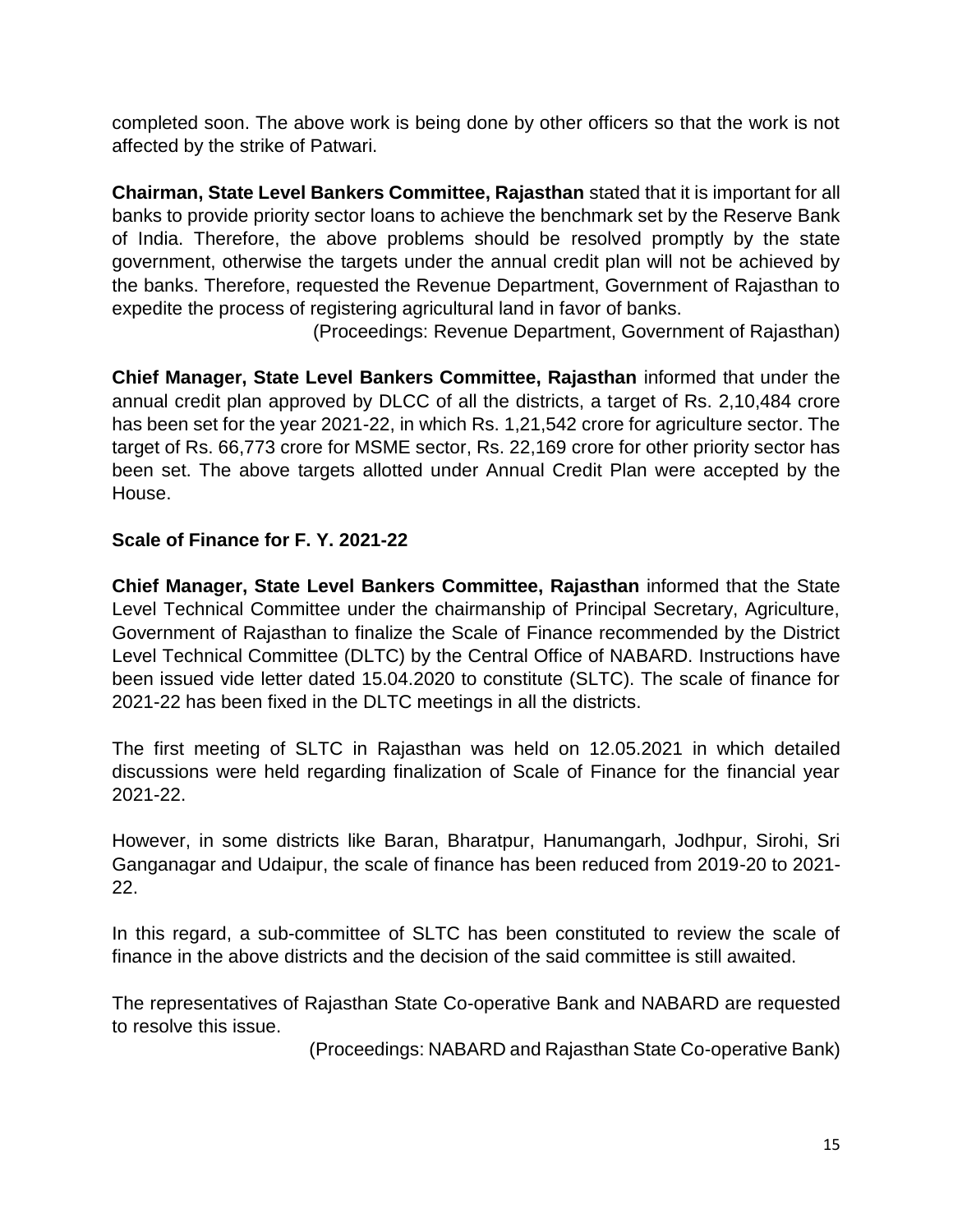completed soon. The above work is being done by other officers so that the work is not affected by the strike of Patwari.

**Chairman, State Level Bankers Committee, Rajasthan** stated that it is important for all banks to provide priority sector loans to achieve the benchmark set by the Reserve Bank of India. Therefore, the above problems should be resolved promptly by the state government, otherwise the targets under the annual credit plan will not be achieved by the banks. Therefore, requested the Revenue Department, Government of Rajasthan to expedite the process of registering agricultural land in favor of banks.

(Proceedings: Revenue Department, Government of Rajasthan)

**Chief Manager, State Level Bankers Committee, Rajasthan** informed that under the annual credit plan approved by DLCC of all the districts, a target of Rs. 2,10,484 crore has been set for the year 2021-22, in which Rs. 1,21,542 crore for agriculture sector. The target of Rs. 66,773 crore for MSME sector, Rs. 22,169 crore for other priority sector has been set. The above targets allotted under Annual Credit Plan were accepted by the House.

# **Scale of Finance for F. Y. 2021-22**

**Chief Manager, State Level Bankers Committee, Rajasthan** informed that the State Level Technical Committee under the chairmanship of Principal Secretary, Agriculture, Government of Rajasthan to finalize the Scale of Finance recommended by the District Level Technical Committee (DLTC) by the Central Office of NABARD. Instructions have been issued vide letter dated 15.04.2020 to constitute (SLTC). The scale of finance for 2021-22 has been fixed in the DLTC meetings in all the districts.

The first meeting of SLTC in Rajasthan was held on 12.05.2021 in which detailed discussions were held regarding finalization of Scale of Finance for the financial year 2021-22.

However, in some districts like Baran, Bharatpur, Hanumangarh, Jodhpur, Sirohi, Sri Ganganagar and Udaipur, the scale of finance has been reduced from 2019-20 to 2021- 22.

In this regard, a sub-committee of SLTC has been constituted to review the scale of finance in the above districts and the decision of the said committee is still awaited.

The representatives of Rajasthan State Co-operative Bank and NABARD are requested to resolve this issue.

(Proceedings: NABARD and Rajasthan State Co-operative Bank)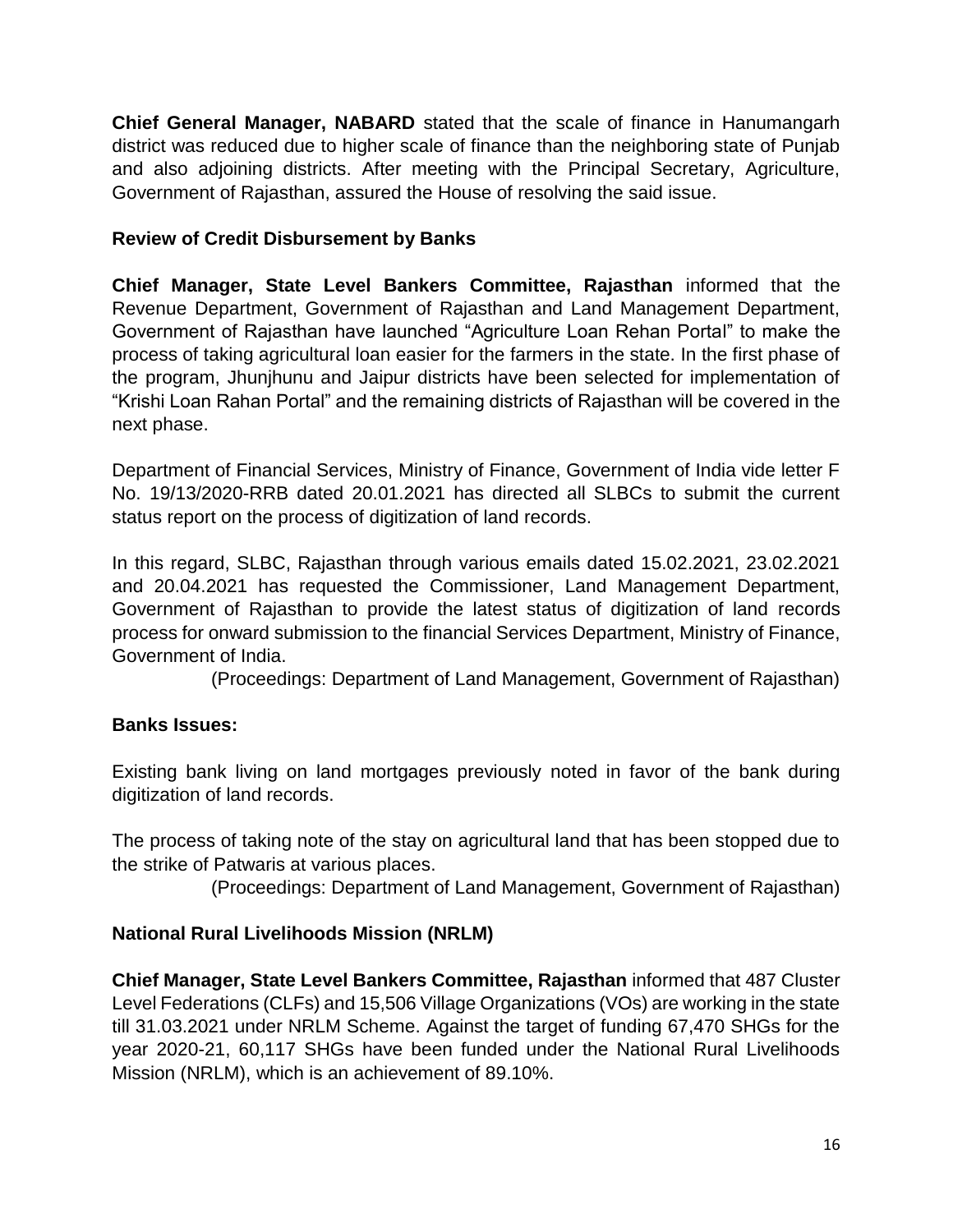**Chief General Manager, NABARD** stated that the scale of finance in Hanumangarh district was reduced due to higher scale of finance than the neighboring state of Punjab and also adjoining districts. After meeting with the Principal Secretary, Agriculture, Government of Rajasthan, assured the House of resolving the said issue.

# **Review of Credit Disbursement by Banks**

**Chief Manager, State Level Bankers Committee, Rajasthan** informed that the Revenue Department, Government of Rajasthan and Land Management Department, Government of Rajasthan have launched "Agriculture Loan Rehan Portal" to make the process of taking agricultural loan easier for the farmers in the state. In the first phase of the program, Jhunjhunu and Jaipur districts have been selected for implementation of "Krishi Loan Rahan Portal" and the remaining districts of Rajasthan will be covered in the next phase.

Department of Financial Services, Ministry of Finance, Government of India vide letter F No. 19/13/2020-RRB dated 20.01.2021 has directed all SLBCs to submit the current status report on the process of digitization of land records.

In this regard, SLBC, Rajasthan through various emails dated 15.02.2021, 23.02.2021 and 20.04.2021 has requested the Commissioner, Land Management Department, Government of Rajasthan to provide the latest status of digitization of land records process for onward submission to the financial Services Department, Ministry of Finance, Government of India.

(Proceedings: Department of Land Management, Government of Rajasthan)

# **Banks Issues:**

Existing bank living on land mortgages previously noted in favor of the bank during digitization of land records.

The process of taking note of the stay on agricultural land that has been stopped due to the strike of Patwaris at various places.

(Proceedings: Department of Land Management, Government of Rajasthan)

#### **National Rural Livelihoods Mission (NRLM)**

**Chief Manager, State Level Bankers Committee, Rajasthan** informed that 487 Cluster Level Federations (CLFs) and 15,506 Village Organizations (VOs) are working in the state till 31.03.2021 under NRLM Scheme. Against the target of funding 67,470 SHGs for the year 2020-21, 60,117 SHGs have been funded under the National Rural Livelihoods Mission (NRLM), which is an achievement of 89.10%.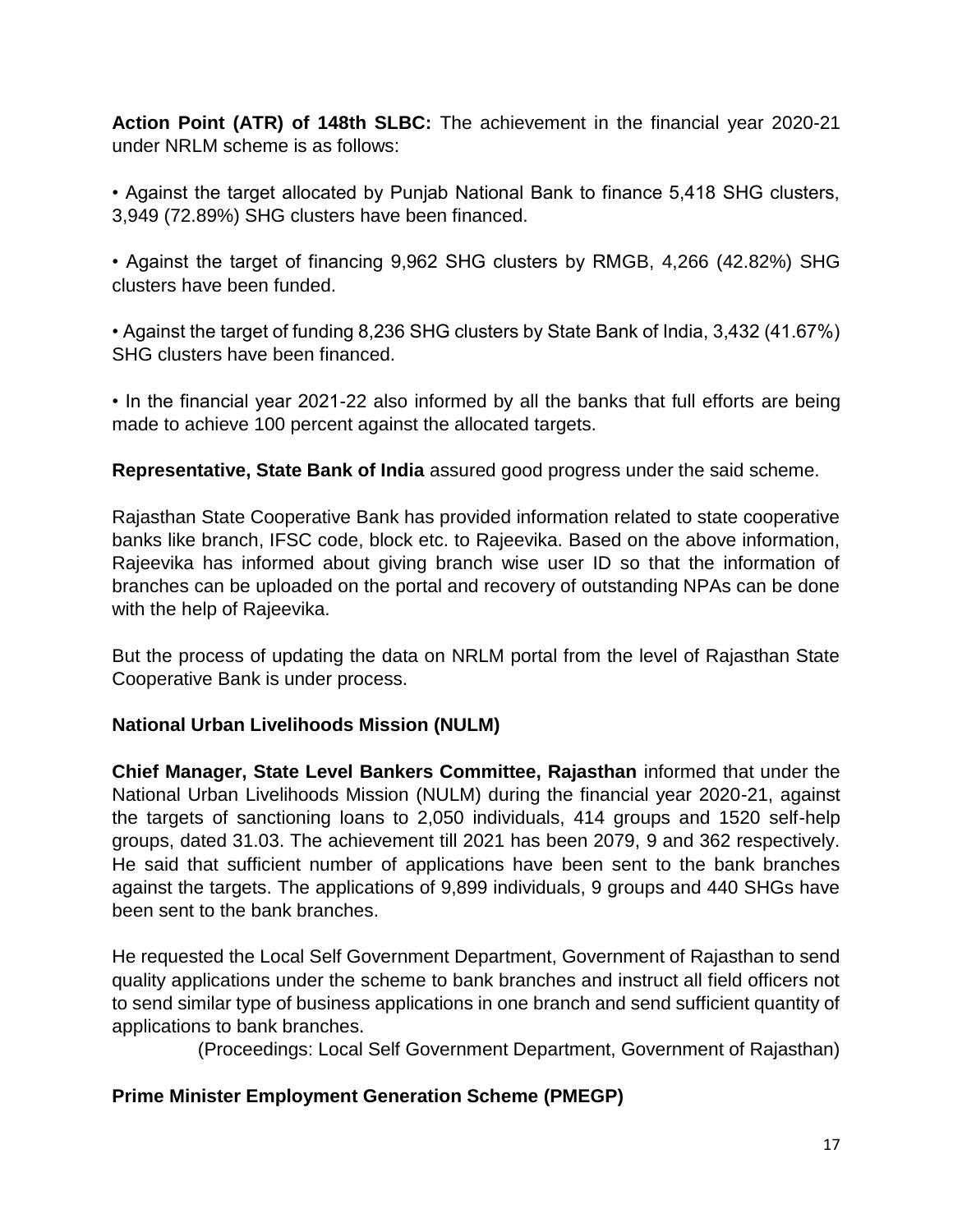**Action Point (ATR) of 148th SLBC:** The achievement in the financial year 2020-21 under NRLM scheme is as follows:

• Against the target allocated by Punjab National Bank to finance 5,418 SHG clusters, 3,949 (72.89%) SHG clusters have been financed.

• Against the target of financing 9,962 SHG clusters by RMGB, 4,266 (42.82%) SHG clusters have been funded.

• Against the target of funding 8,236 SHG clusters by State Bank of India, 3,432 (41.67%) SHG clusters have been financed.

• In the financial year 2021-22 also informed by all the banks that full efforts are being made to achieve 100 percent against the allocated targets.

**Representative, State Bank of India** assured good progress under the said scheme.

Rajasthan State Cooperative Bank has provided information related to state cooperative banks like branch, IFSC code, block etc. to Rajeevika. Based on the above information, Rajeevika has informed about giving branch wise user ID so that the information of branches can be uploaded on the portal and recovery of outstanding NPAs can be done with the help of Rajeevika.

But the process of updating the data on NRLM portal from the level of Rajasthan State Cooperative Bank is under process.

# **National Urban Livelihoods Mission (NULM)**

**Chief Manager, State Level Bankers Committee, Rajasthan** informed that under the National Urban Livelihoods Mission (NULM) during the financial year 2020-21, against the targets of sanctioning loans to 2,050 individuals, 414 groups and 1520 self-help groups, dated 31.03. The achievement till 2021 has been 2079, 9 and 362 respectively. He said that sufficient number of applications have been sent to the bank branches against the targets. The applications of 9,899 individuals, 9 groups and 440 SHGs have been sent to the bank branches.

He requested the Local Self Government Department, Government of Rajasthan to send quality applications under the scheme to bank branches and instruct all field officers not to send similar type of business applications in one branch and send sufficient quantity of applications to bank branches.

(Proceedings: Local Self Government Department, Government of Rajasthan)

# **Prime Minister Employment Generation Scheme (PMEGP)**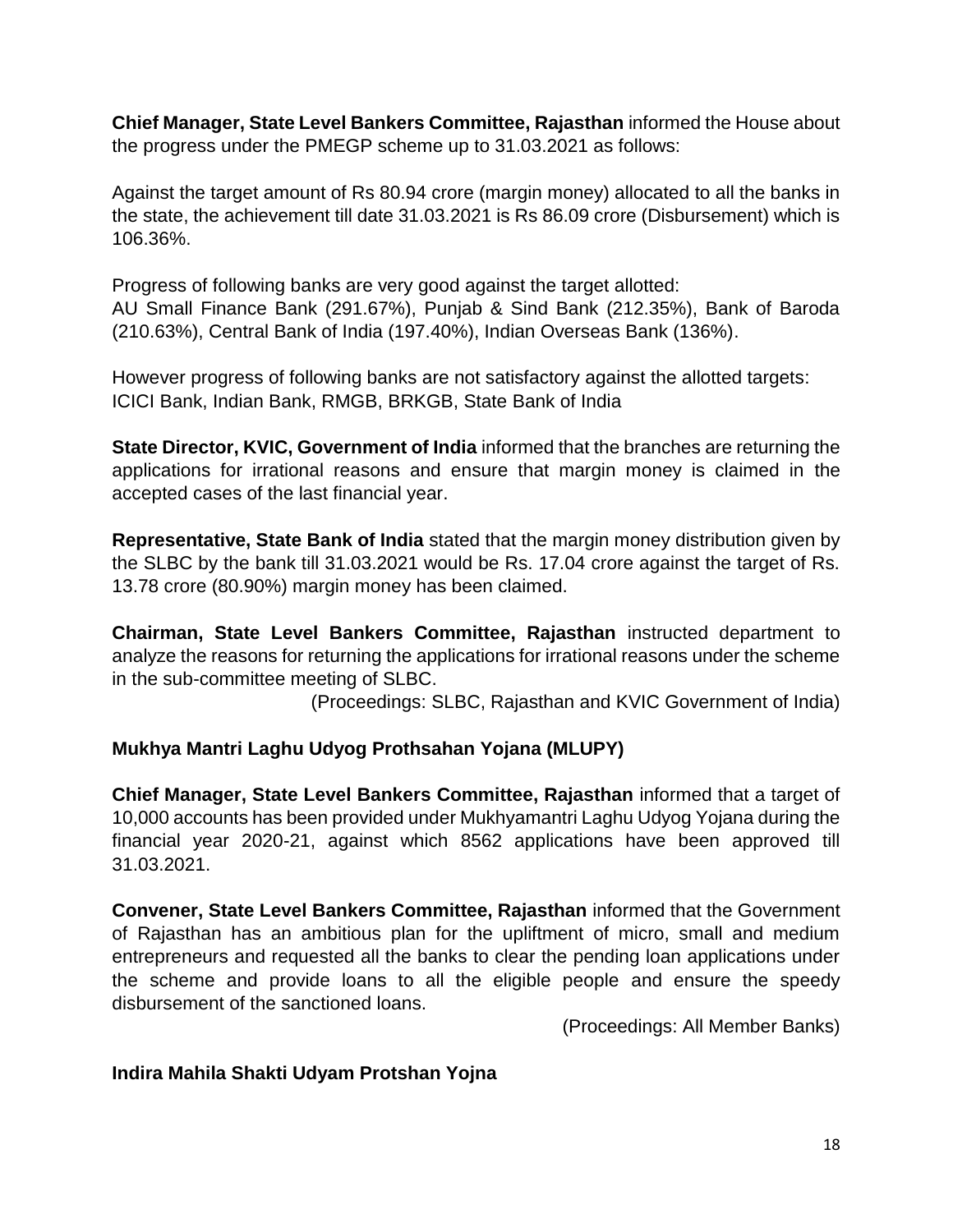**Chief Manager, State Level Bankers Committee, Rajasthan** informed the House about the progress under the PMEGP scheme up to 31.03.2021 as follows:

Against the target amount of Rs 80.94 crore (margin money) allocated to all the banks in the state, the achievement till date 31.03.2021 is Rs 86.09 crore (Disbursement) which is 106.36%.

Progress of following banks are very good against the target allotted: AU Small Finance Bank (291.67%), Punjab & Sind Bank (212.35%), Bank of Baroda (210.63%), Central Bank of India (197.40%), Indian Overseas Bank (136%).

However progress of following banks are not satisfactory against the allotted targets: ICICI Bank, Indian Bank, RMGB, BRKGB, State Bank of India

**State Director, KVIC, Government of India** informed that the branches are returning the applications for irrational reasons and ensure that margin money is claimed in the accepted cases of the last financial year.

**Representative, State Bank of India** stated that the margin money distribution given by the SLBC by the bank till 31.03.2021 would be Rs. 17.04 crore against the target of Rs. 13.78 crore (80.90%) margin money has been claimed.

**Chairman, State Level Bankers Committee, Rajasthan** instructed department to analyze the reasons for returning the applications for irrational reasons under the scheme in the sub-committee meeting of SLBC.

(Proceedings: SLBC, Rajasthan and KVIC Government of India)

# **Mukhya Mantri Laghu Udyog Prothsahan Yojana (MLUPY)**

**Chief Manager, State Level Bankers Committee, Rajasthan** informed that a target of 10,000 accounts has been provided under Mukhyamantri Laghu Udyog Yojana during the financial year 2020-21, against which 8562 applications have been approved till 31.03.2021.

**Convener, State Level Bankers Committee, Rajasthan** informed that the Government of Rajasthan has an ambitious plan for the upliftment of micro, small and medium entrepreneurs and requested all the banks to clear the pending loan applications under the scheme and provide loans to all the eligible people and ensure the speedy disbursement of the sanctioned loans.

(Proceedings: All Member Banks)

# **Indira Mahila Shakti Udyam Protshan Yojna**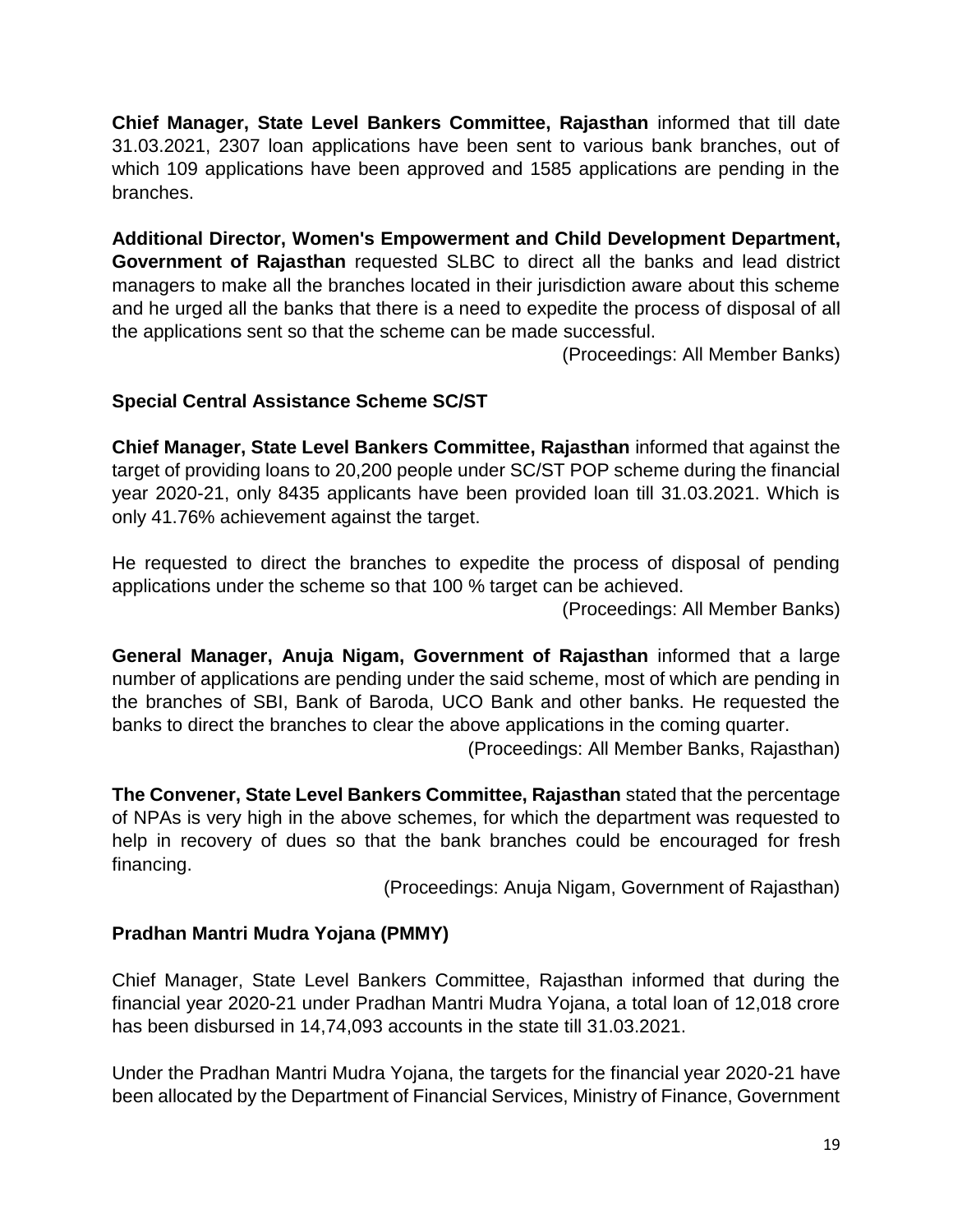**Chief Manager, State Level Bankers Committee, Rajasthan** informed that till date 31.03.2021, 2307 loan applications have been sent to various bank branches, out of which 109 applications have been approved and 1585 applications are pending in the branches.

**Additional Director, Women's Empowerment and Child Development Department, Government of Rajasthan** requested SLBC to direct all the banks and lead district managers to make all the branches located in their jurisdiction aware about this scheme and he urged all the banks that there is a need to expedite the process of disposal of all the applications sent so that the scheme can be made successful.

(Proceedings: All Member Banks)

# **Special Central Assistance Scheme SC/ST**

**Chief Manager, State Level Bankers Committee, Rajasthan** informed that against the target of providing loans to 20,200 people under SC/ST POP scheme during the financial year 2020-21, only 8435 applicants have been provided loan till 31.03.2021. Which is only 41.76% achievement against the target.

He requested to direct the branches to expedite the process of disposal of pending applications under the scheme so that 100 % target can be achieved.

(Proceedings: All Member Banks)

**General Manager, Anuja Nigam, Government of Rajasthan** informed that a large number of applications are pending under the said scheme, most of which are pending in the branches of SBI, Bank of Baroda, UCO Bank and other banks. He requested the banks to direct the branches to clear the above applications in the coming quarter.

(Proceedings: All Member Banks, Rajasthan)

**The Convener, State Level Bankers Committee, Rajasthan** stated that the percentage of NPAs is very high in the above schemes, for which the department was requested to help in recovery of dues so that the bank branches could be encouraged for fresh financing.

(Proceedings: Anuja Nigam, Government of Rajasthan)

# **Pradhan Mantri Mudra Yojana (PMMY)**

Chief Manager, State Level Bankers Committee, Rajasthan informed that during the financial year 2020-21 under Pradhan Mantri Mudra Yojana, a total loan of 12,018 crore has been disbursed in 14,74,093 accounts in the state till 31.03.2021.

Under the Pradhan Mantri Mudra Yojana, the targets for the financial year 2020-21 have been allocated by the Department of Financial Services, Ministry of Finance, Government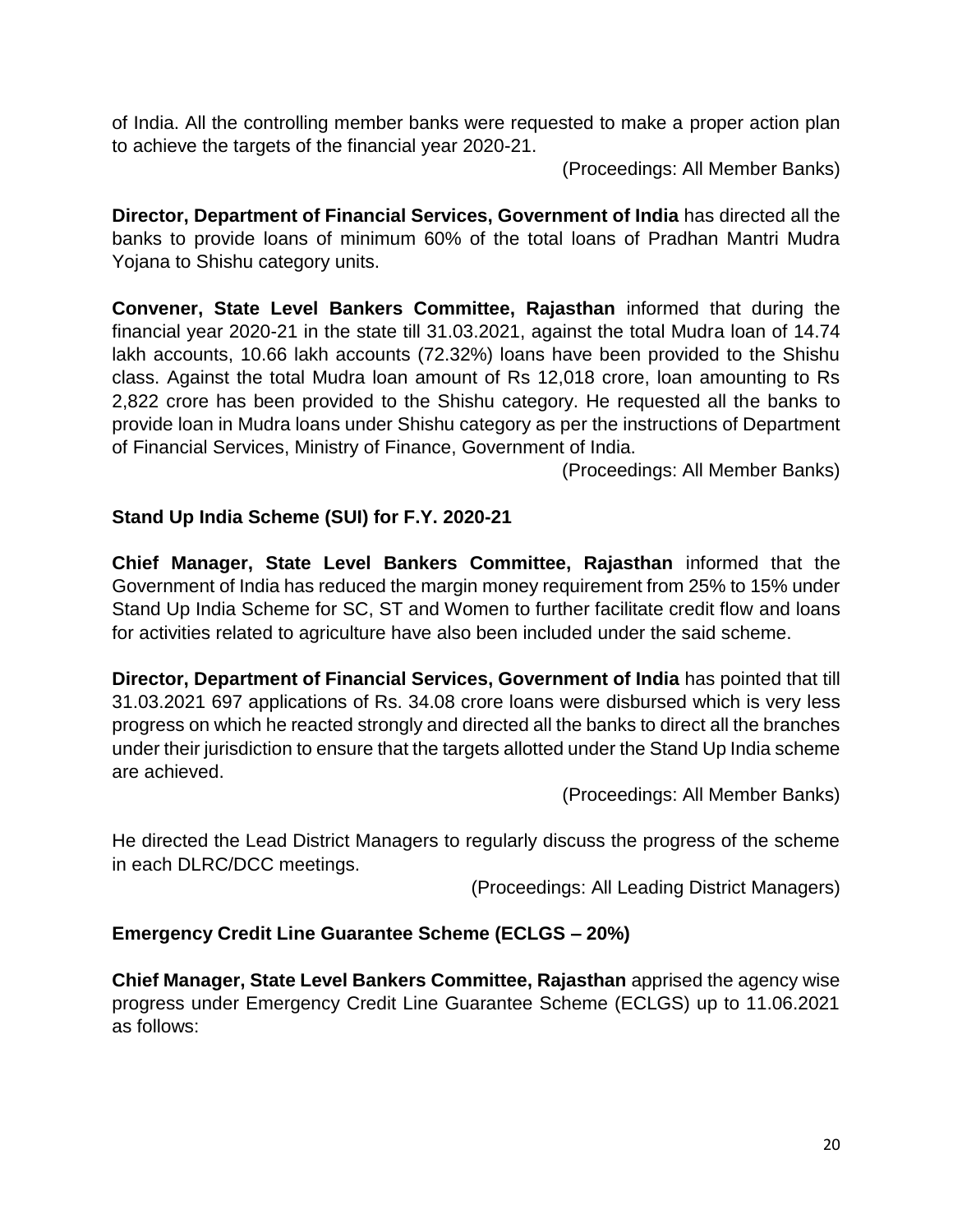of India. All the controlling member banks were requested to make a proper action plan to achieve the targets of the financial year 2020-21.

(Proceedings: All Member Banks)

**Director, Department of Financial Services, Government of India** has directed all the banks to provide loans of minimum 60% of the total loans of Pradhan Mantri Mudra Yojana to Shishu category units.

**Convener, State Level Bankers Committee, Rajasthan** informed that during the financial year 2020-21 in the state till 31.03.2021, against the total Mudra loan of 14.74 lakh accounts, 10.66 lakh accounts (72.32%) loans have been provided to the Shishu class. Against the total Mudra loan amount of Rs 12,018 crore, loan amounting to Rs 2,822 crore has been provided to the Shishu category. He requested all the banks to provide loan in Mudra loans under Shishu category as per the instructions of Department of Financial Services, Ministry of Finance, Government of India.

(Proceedings: All Member Banks)

# **Stand Up India Scheme (SUI) for F.Y. 2020-21**

**Chief Manager, State Level Bankers Committee, Rajasthan** informed that the Government of India has reduced the margin money requirement from 25% to 15% under Stand Up India Scheme for SC, ST and Women to further facilitate credit flow and loans for activities related to agriculture have also been included under the said scheme.

**Director, Department of Financial Services, Government of India** has pointed that till 31.03.2021 697 applications of Rs. 34.08 crore loans were disbursed which is very less progress on which he reacted strongly and directed all the banks to direct all the branches under their jurisdiction to ensure that the targets allotted under the Stand Up India scheme are achieved.

(Proceedings: All Member Banks)

He directed the Lead District Managers to regularly discuss the progress of the scheme in each DLRC/DCC meetings.

(Proceedings: All Leading District Managers)

# **Emergency Credit Line Guarantee Scheme (ECLGS – 20%)**

**Chief Manager, State Level Bankers Committee, Rajasthan** apprised the agency wise progress under Emergency Credit Line Guarantee Scheme (ECLGS) up to 11.06.2021 as follows: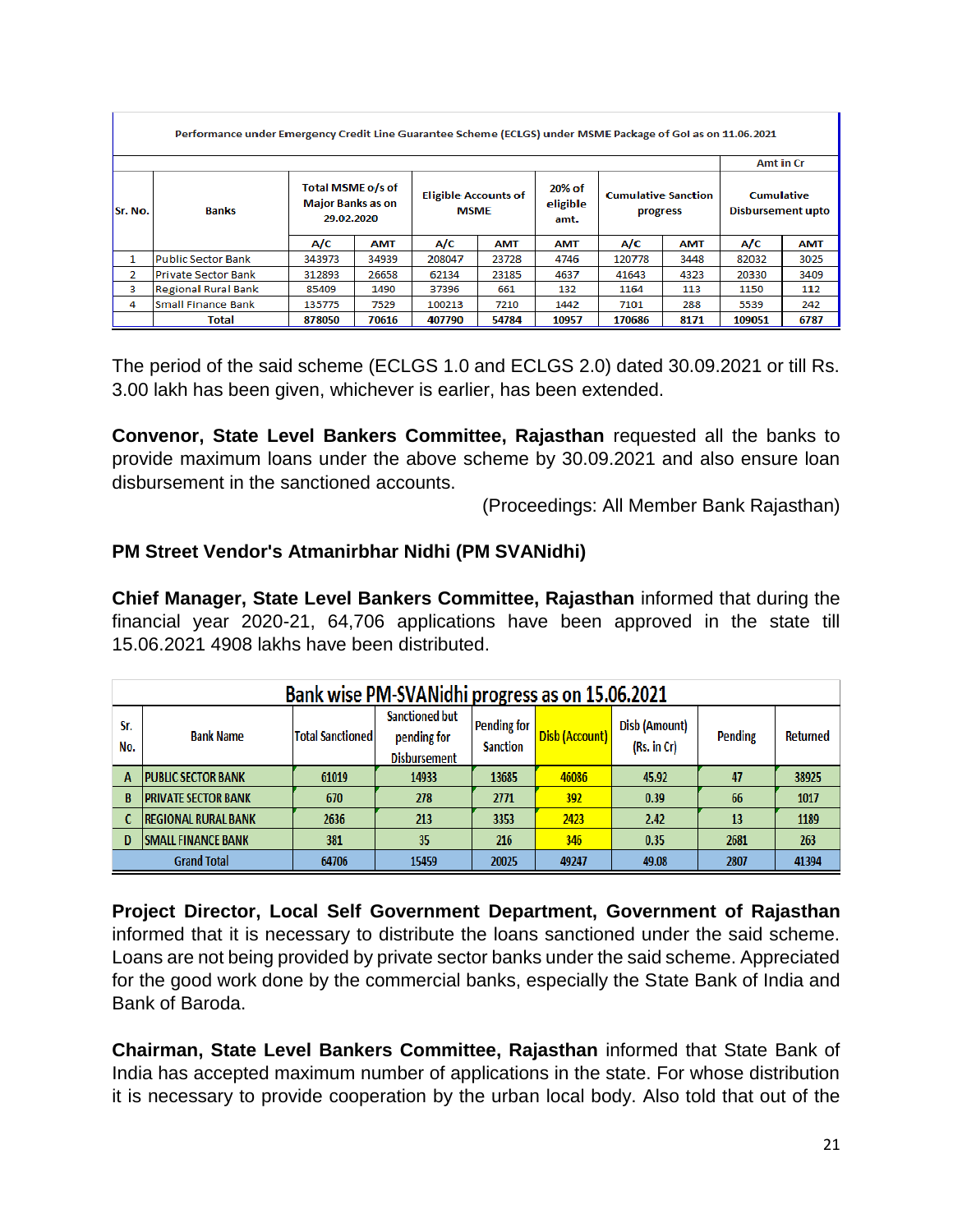|                                | Performance under Emergency Credit Line Guarantee Scheme (ECLGS) under MSME Package of GoI as on 11.06.2021 |                                                             |            |                                            |            |                            |                                        |            |                                        |            |  |  |
|--------------------------------|-------------------------------------------------------------------------------------------------------------|-------------------------------------------------------------|------------|--------------------------------------------|------------|----------------------------|----------------------------------------|------------|----------------------------------------|------------|--|--|
|                                |                                                                                                             |                                                             |            |                                            |            |                            |                                        |            |                                        |            |  |  |
| <b>Banks</b><br><b>Sr. No.</b> |                                                                                                             | Total MSME o/s of<br><b>Major Banks as on</b><br>29.02.2020 |            | <b>Eligible Accounts of</b><br><b>MSME</b> |            | 20% of<br>eligible<br>amt. | <b>Cumulative Sanction</b><br>progress |            | <b>Cumulative</b><br>Disbursement upto |            |  |  |
|                                |                                                                                                             | A/C                                                         | <b>AMT</b> | A/C                                        | <b>AMT</b> | <b>AMT</b>                 | A/C                                    | <b>AMT</b> | A/C                                    | <b>AMT</b> |  |  |
| 1                              | Public Sector Bank                                                                                          | 343973                                                      | 34939      | 208047                                     | 23728      | 4746                       | 120778                                 | 3448       | 82032                                  | 3025       |  |  |
| 2                              | Private Sector Bank                                                                                         | 312893                                                      | 26658      | 62134                                      | 23185      | 4637                       | 41643                                  | 4323       | 20330                                  | 3409       |  |  |
| 3                              | <b>Regional Rural Bank</b>                                                                                  | 85409                                                       | 1490       | 37396                                      | 661        | 132                        | 1164                                   | 113        | 1150                                   | 112        |  |  |
| 4                              | lSmall Finance Bank                                                                                         | 135775                                                      | 7529       | 100213                                     | 7210       | 1442                       | 7101                                   | 288        | 5539                                   | 242        |  |  |
|                                | Total                                                                                                       | 878050                                                      | 70616      | 407790                                     | 54784      | 10957                      | 170686                                 | 8171       | 109051                                 | 6787       |  |  |

The period of the said scheme (ECLGS 1.0 and ECLGS 2.0) dated 30.09.2021 or till Rs. 3.00 lakh has been given, whichever is earlier, has been extended.

**Convenor, State Level Bankers Committee, Rajasthan** requested all the banks to provide maximum loans under the above scheme by 30.09.2021 and also ensure loan disbursement in the sanctioned accounts.

(Proceedings: All Member Bank Rajasthan)

#### **PM Street Vendor's Atmanirbhar Nidhi (PM SVANidhi)**

**Chief Manager, State Level Bankers Committee, Rajasthan** informed that during the financial year 2020-21, 64,706 applications have been approved in the state till 15.06.2021 4908 lakhs have been distributed.

|            | Bank wise PM-SVANidhi progress as on 15.06.2021                                  |                         |                                                             |                                       |                |                              |         |          |  |  |
|------------|----------------------------------------------------------------------------------|-------------------------|-------------------------------------------------------------|---------------------------------------|----------------|------------------------------|---------|----------|--|--|
| Sr.<br>No. | <b>Bank Name</b>                                                                 | <b>Total Sanctioned</b> | <b>Sanctioned but</b><br>pending for<br><b>Disbursement</b> | <b>Pending for</b><br><b>Sanction</b> | Disb (Account) | Disb (Amount)<br>(Rs. in Cr) | Pending | Returned |  |  |
| A          | <b>PUBLIC SECTOR BANK</b>                                                        | 61019                   | 14933                                                       | 13685                                 | 46086          | 45.92                        | 47      | 38925    |  |  |
|            | <b>PRIVATE SECTOR BANK</b>                                                       | 670                     | 278                                                         | 2771                                  | 392            | 0.39                         | 66      | 1017     |  |  |
|            | <b>REGIONAL RURAL BANK</b>                                                       | 2636                    | 213                                                         | 3353                                  | 2423           | 2.42                         | 13      | 1189     |  |  |
| D          | <b>SMALL FINANCE BANK</b>                                                        | 381                     | 35                                                          | 216                                   | 346            | 0.35                         | 2681    | 263      |  |  |
|            | <b>Grand Total</b><br>20025<br>64706<br>15459<br>49247<br>49.08<br>2807<br>41394 |                         |                                                             |                                       |                |                              |         |          |  |  |

**Project Director, Local Self Government Department, Government of Rajasthan** informed that it is necessary to distribute the loans sanctioned under the said scheme. Loans are not being provided by private sector banks under the said scheme. Appreciated for the good work done by the commercial banks, especially the State Bank of India and Bank of Baroda.

**Chairman, State Level Bankers Committee, Rajasthan** informed that State Bank of India has accepted maximum number of applications in the state. For whose distribution it is necessary to provide cooperation by the urban local body. Also told that out of the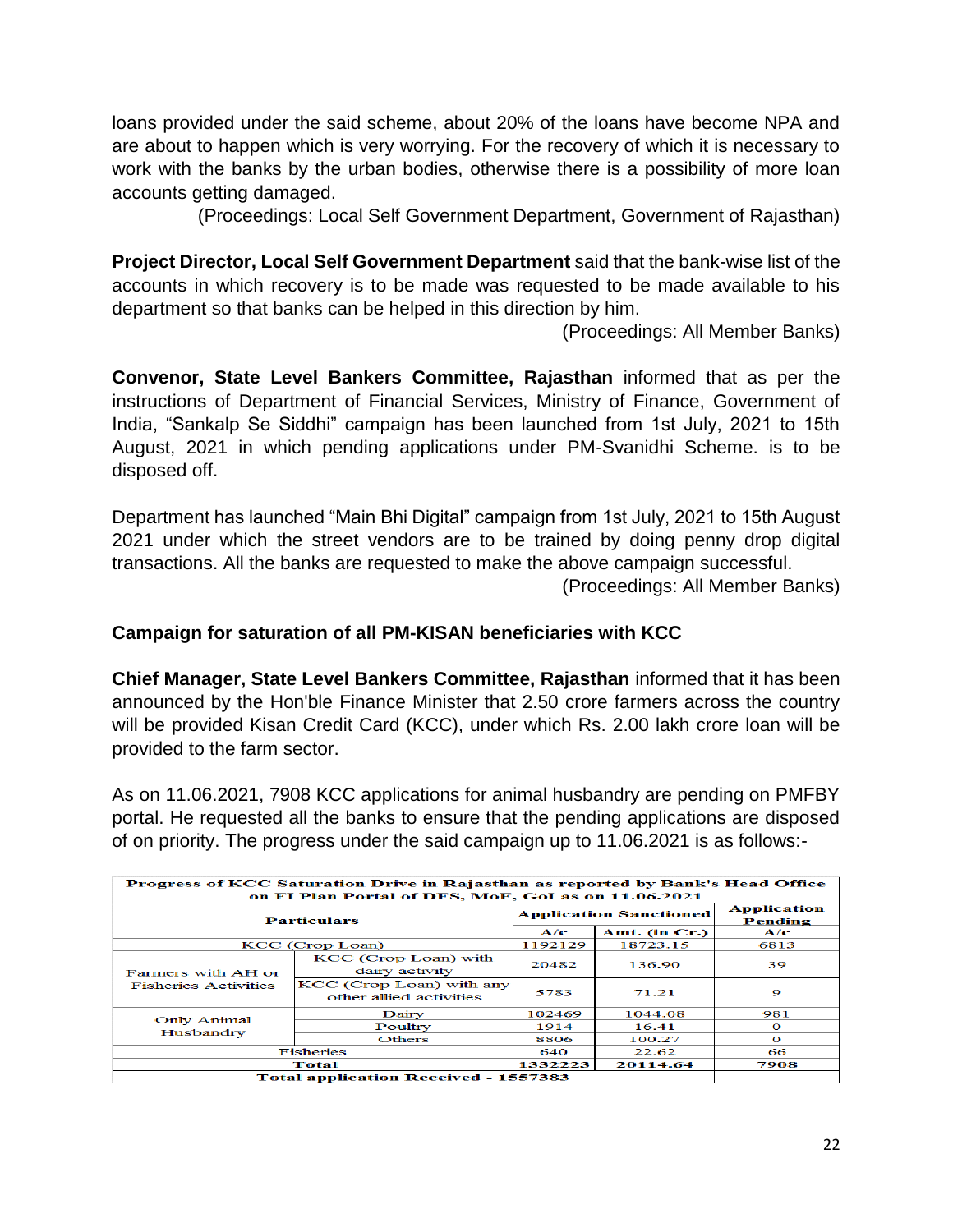loans provided under the said scheme, about 20% of the loans have become NPA and are about to happen which is very worrying. For the recovery of which it is necessary to work with the banks by the urban bodies, otherwise there is a possibility of more loan accounts getting damaged.

(Proceedings: Local Self Government Department, Government of Rajasthan)

**Project Director, Local Self Government Department** said that the bank-wise list of the accounts in which recovery is to be made was requested to be made available to his department so that banks can be helped in this direction by him.

(Proceedings: All Member Banks)

**Convenor, State Level Bankers Committee, Rajasthan** informed that as per the instructions of Department of Financial Services, Ministry of Finance, Government of India, "Sankalp Se Siddhi" campaign has been launched from 1st July, 2021 to 15th August, 2021 in which pending applications under PM-Svanidhi Scheme. is to be disposed off.

Department has launched "Main Bhi Digital" campaign from 1st July, 2021 to 15th August 2021 under which the street vendors are to be trained by doing penny drop digital transactions. All the banks are requested to make the above campaign successful.

(Proceedings: All Member Banks)

#### **Campaign for saturation of all PM-KISAN beneficiaries with KCC**

**Chief Manager, State Level Bankers Committee, Rajasthan** informed that it has been announced by the Hon'ble Finance Minister that 2.50 crore farmers across the country will be provided Kisan Credit Card (KCC), under which Rs. 2.00 lakh crore loan will be provided to the farm sector.

As on 11.06.2021, 7908 KCC applications for animal husbandry are pending on PMFBY portal. He requested all the banks to ensure that the pending applications are disposed of on priority. The progress under the said campaign up to 11.06.2021 is as follows:-

| Progress of KCC Saturation Drive in Rajasthan as reported by Bank's Head Office<br>on FI Plan Portal of DFS, MoF, GoI as on 11.06.2021 |                                                     |               |                               |                               |  |  |  |  |  |
|----------------------------------------------------------------------------------------------------------------------------------------|-----------------------------------------------------|---------------|-------------------------------|-------------------------------|--|--|--|--|--|
|                                                                                                                                        | <b>Particulars</b>                                  |               | <b>Application Sanctioned</b> | <b>Application</b><br>Pending |  |  |  |  |  |
|                                                                                                                                        | A/c                                                 | Amt. (in Cr.) | A/c                           |                               |  |  |  |  |  |
|                                                                                                                                        | KCC (Crop Loan)                                     | 1192129       | 18723.15                      | 6813                          |  |  |  |  |  |
| Farmers with AH or                                                                                                                     | KCC (Crop Loan) with<br>dairy activity              | 20482         | 136.90                        | 39                            |  |  |  |  |  |
| <b>Fisheries Activities</b>                                                                                                            | KCC (Crop Loan) with any<br>other allied activities | 5783          | 71.21                         | 9                             |  |  |  |  |  |
| Only Animal                                                                                                                            | Dairy                                               | 102469        | 1044.08                       | 981                           |  |  |  |  |  |
| Husbandry                                                                                                                              | Poultry                                             | 1914          | 16.41                         | $\mathbf{o}$                  |  |  |  |  |  |
|                                                                                                                                        | <b>Others</b>                                       | 8806          | 100.27                        | $\Omega$                      |  |  |  |  |  |
|                                                                                                                                        | <b>Fisheries</b>                                    | 640           | 22.62                         | 66                            |  |  |  |  |  |
|                                                                                                                                        | Total                                               | 1332223       | 20114.64                      | 7908                          |  |  |  |  |  |
|                                                                                                                                        | <b>Total application Received - 1557383</b>         |               |                               |                               |  |  |  |  |  |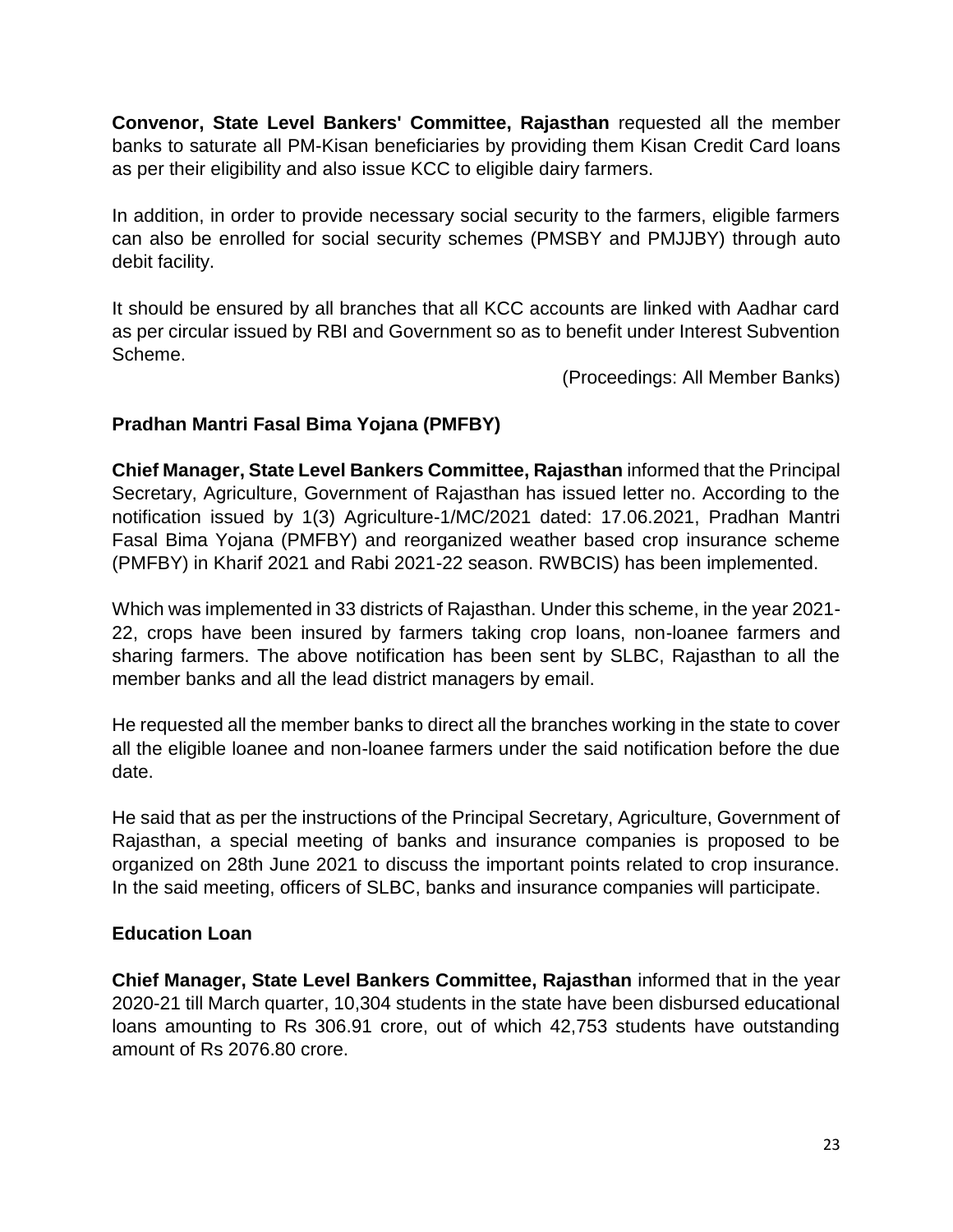**Convenor, State Level Bankers' Committee, Rajasthan** requested all the member banks to saturate all PM-Kisan beneficiaries by providing them Kisan Credit Card loans as per their eligibility and also issue KCC to eligible dairy farmers.

In addition, in order to provide necessary social security to the farmers, eligible farmers can also be enrolled for social security schemes (PMSBY and PMJJBY) through auto debit facility.

It should be ensured by all branches that all KCC accounts are linked with Aadhar card as per circular issued by RBI and Government so as to benefit under Interest Subvention Scheme.

(Proceedings: All Member Banks)

# **Pradhan Mantri Fasal Bima Yojana (PMFBY)**

**Chief Manager, State Level Bankers Committee, Rajasthan** informed that the Principal Secretary, Agriculture, Government of Rajasthan has issued letter no. According to the notification issued by 1(3) Agriculture-1/MC/2021 dated: 17.06.2021, Pradhan Mantri Fasal Bima Yojana (PMFBY) and reorganized weather based crop insurance scheme (PMFBY) in Kharif 2021 and Rabi 2021-22 season. RWBCIS) has been implemented.

Which was implemented in 33 districts of Rajasthan. Under this scheme, in the year 2021- 22, crops have been insured by farmers taking crop loans, non-loanee farmers and sharing farmers. The above notification has been sent by SLBC, Rajasthan to all the member banks and all the lead district managers by email.

He requested all the member banks to direct all the branches working in the state to cover all the eligible loanee and non-loanee farmers under the said notification before the due date.

He said that as per the instructions of the Principal Secretary, Agriculture, Government of Rajasthan, a special meeting of banks and insurance companies is proposed to be organized on 28th June 2021 to discuss the important points related to crop insurance. In the said meeting, officers of SLBC, banks and insurance companies will participate.

# **Education Loan**

**Chief Manager, State Level Bankers Committee, Rajasthan** informed that in the year 2020-21 till March quarter, 10,304 students in the state have been disbursed educational loans amounting to Rs 306.91 crore, out of which 42,753 students have outstanding amount of Rs 2076.80 crore.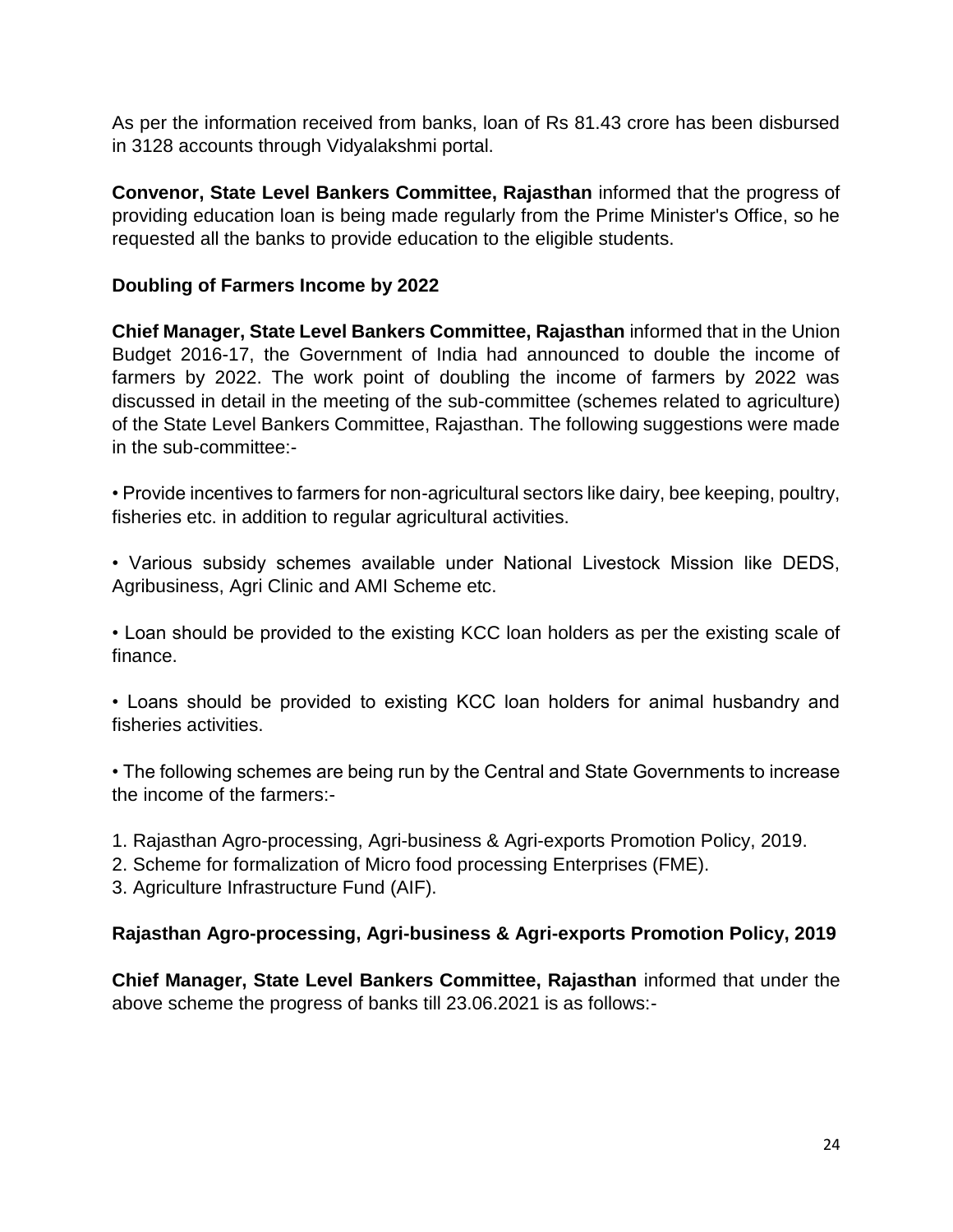As per the information received from banks, loan of Rs 81.43 crore has been disbursed in 3128 accounts through Vidyalakshmi portal.

**Convenor, State Level Bankers Committee, Rajasthan** informed that the progress of providing education loan is being made regularly from the Prime Minister's Office, so he requested all the banks to provide education to the eligible students.

# **Doubling of Farmers Income by 2022**

**Chief Manager, State Level Bankers Committee, Rajasthan** informed that in the Union Budget 2016-17, the Government of India had announced to double the income of farmers by 2022. The work point of doubling the income of farmers by 2022 was discussed in detail in the meeting of the sub-committee (schemes related to agriculture) of the State Level Bankers Committee, Rajasthan. The following suggestions were made in the sub-committee:-

• Provide incentives to farmers for non-agricultural sectors like dairy, bee keeping, poultry, fisheries etc. in addition to regular agricultural activities.

• Various subsidy schemes available under National Livestock Mission like DEDS, Agribusiness, Agri Clinic and AMI Scheme etc.

• Loan should be provided to the existing KCC loan holders as per the existing scale of finance.

• Loans should be provided to existing KCC loan holders for animal husbandry and fisheries activities.

• The following schemes are being run by the Central and State Governments to increase the income of the farmers:-

- 1. Rajasthan Agro-processing, Agri-business & Agri-exports Promotion Policy, 2019.
- 2. Scheme for formalization of Micro food processing Enterprises (FME).

3. Agriculture Infrastructure Fund (AIF).

# **Rajasthan Agro-processing, Agri-business & Agri-exports Promotion Policy, 2019**

**Chief Manager, State Level Bankers Committee, Rajasthan** informed that under the above scheme the progress of banks till 23.06.2021 is as follows:-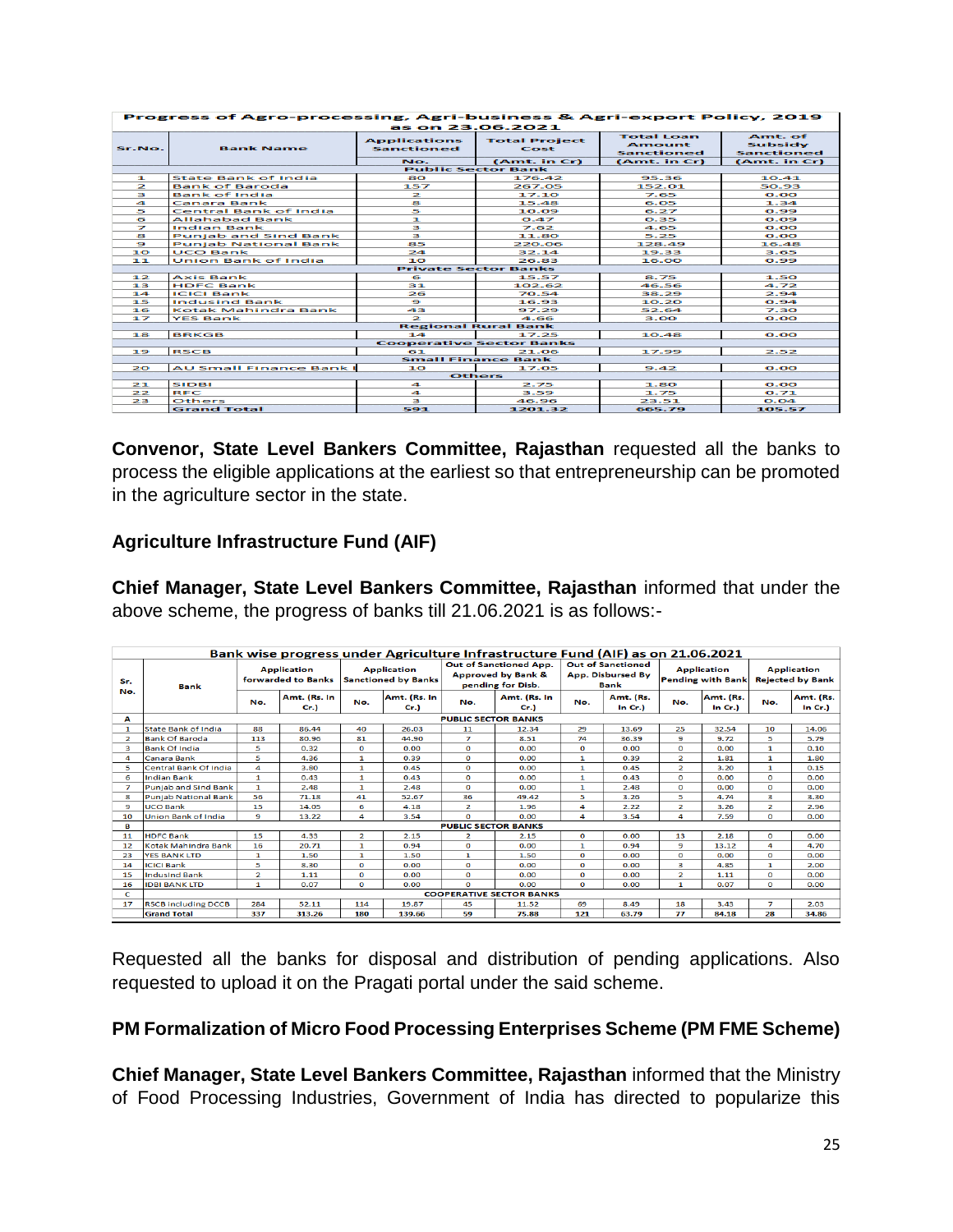| Progress of Agro-processing, Agri-business & Agri-export Policy, 2019 |                                |                                                 |                                                                  |                                                                         |                                                         |  |  |  |  |  |  |
|-----------------------------------------------------------------------|--------------------------------|-------------------------------------------------|------------------------------------------------------------------|-------------------------------------------------------------------------|---------------------------------------------------------|--|--|--|--|--|--|
| Sr.No.                                                                | <b>Bank Name</b>               | <b>Applications</b><br><b>Sanctioned</b><br>No. | as on 23.06.2021<br><b>Total Project</b><br>Cost<br>(Amt. in Cr) | <b>Total Loan</b><br><b>Amount</b><br><b>Sanctioned</b><br>(Amt. in Cr) | Amt. of<br>Subsidy<br><b>Sanctioned</b><br>(Amt. in Cr) |  |  |  |  |  |  |
|                                                                       |                                |                                                 | <b>Public Sector Bank</b>                                        |                                                                         |                                                         |  |  |  |  |  |  |
| п.                                                                    | <b>State Bank of India</b>     | 80                                              | 176.42                                                           | 95.36                                                                   | 10.41                                                   |  |  |  |  |  |  |
| $\overline{z}$                                                        | <b>Bank of Baroda</b>          | 157                                             | 267.05                                                           | 152.01                                                                  | 50.93                                                   |  |  |  |  |  |  |
| в                                                                     | <b>Bank of India</b>           | $\mathbf{z}$                                    | 17.10                                                            | 7.65                                                                    | O.OO                                                    |  |  |  |  |  |  |
| $\overline{\phantom{a}}$                                              | Canara Bank                    | s.                                              | 15.48                                                            | 6.05                                                                    | 1.34                                                    |  |  |  |  |  |  |
| 5                                                                     | <b>Central Bank of India</b>   | 5                                               | 10.09                                                            | 6.27                                                                    | 0.99                                                    |  |  |  |  |  |  |
| 6                                                                     | Allahabad Bank                 | E.                                              | 0.47                                                             | 0.35                                                                    | O.09                                                    |  |  |  |  |  |  |
| ⇁                                                                     | Indian Bank                    | з                                               | 7.62                                                             | 4.65                                                                    | O.OO                                                    |  |  |  |  |  |  |
| 8                                                                     | <b>Punjab and Sind Bank</b>    | в                                               | 11.80                                                            | 5.25                                                                    | O.OO                                                    |  |  |  |  |  |  |
| ۰                                                                     | <b>Punjab National Bank</b>    | 85                                              | 220.06                                                           | 128.49                                                                  | 16.48                                                   |  |  |  |  |  |  |
| 10                                                                    | UCO Bank                       | 24.                                             | 32.14                                                            | 19.33                                                                   | 3.65                                                    |  |  |  |  |  |  |
| 11                                                                    | <b>Union Bank of India</b>     | 10                                              | 26.83                                                            | 16.00                                                                   | 0.99                                                    |  |  |  |  |  |  |
|                                                                       | <b>Private Sector Banks</b>    |                                                 |                                                                  |                                                                         |                                                         |  |  |  |  |  |  |
| 12                                                                    | <b>Axis Bank</b>               | 6                                               | 15.57                                                            | 8.75                                                                    | 1.50                                                    |  |  |  |  |  |  |
| 13                                                                    | <b>HDFC Bank</b>               | 31                                              | 102.62                                                           | 46.56                                                                   | 4.72                                                    |  |  |  |  |  |  |
| 14                                                                    | <b>ICICI Bank</b>              | 26                                              | 70.54                                                            | 38.29                                                                   | 2.94                                                    |  |  |  |  |  |  |
| 15                                                                    | <b>Indusind Bank</b>           | ٠                                               | 16.93                                                            | 10.20                                                                   | 0.94                                                    |  |  |  |  |  |  |
| 16                                                                    | Kotak Mahindra Bank            | 43                                              | 97.29                                                            | 52.64                                                                   | 7.30                                                    |  |  |  |  |  |  |
| ュラ                                                                    | <b>YES Bank</b>                | $\Rightarrow$                                   | 4.66                                                             | 3.00                                                                    | O.OO                                                    |  |  |  |  |  |  |
|                                                                       |                                |                                                 | <b>Regional Rural Bank</b>                                       |                                                                         |                                                         |  |  |  |  |  |  |
| 18                                                                    | <b>BRKGB</b>                   | 14                                              | 17.25                                                            | 10.48                                                                   | 0.00                                                    |  |  |  |  |  |  |
|                                                                       |                                |                                                 | <b>Cooperative Sector Banks</b>                                  |                                                                         |                                                         |  |  |  |  |  |  |
| 19                                                                    | <b>RSCB</b>                    | 61                                              | 21.06                                                            | 17.99                                                                   | 2.52                                                    |  |  |  |  |  |  |
|                                                                       |                                |                                                 | <b>Small Finance Bank</b>                                        |                                                                         |                                                         |  |  |  |  |  |  |
| 20                                                                    | <b>AU Small Finance Bank I</b> | 10                                              | 17.05                                                            | 9.42                                                                    | O.OO                                                    |  |  |  |  |  |  |
|                                                                       |                                |                                                 | <b>Others</b>                                                    |                                                                         |                                                         |  |  |  |  |  |  |
| 21                                                                    | <b>SIDBI</b>                   | 4                                               | 2.75                                                             | 1.80                                                                    | 0.00                                                    |  |  |  |  |  |  |
| 22                                                                    | <b>RFC</b>                     | 4                                               | 3.59                                                             | 1.75                                                                    | 0.71                                                    |  |  |  |  |  |  |
| 23                                                                    | Others                         | з                                               | 46.96                                                            | 23.51                                                                   | 0.04                                                    |  |  |  |  |  |  |
|                                                                       | <b>Grand Total</b>             | 591                                             | 1201.32                                                          | 665.79                                                                  | 105.57                                                  |  |  |  |  |  |  |

**Convenor, State Level Bankers Committee, Rajasthan** requested all the banks to process the eligible applications at the earliest so that entrepreneurship can be promoted in the agriculture sector in the state.

# **Agriculture Infrastructure Fund (AIF)**

**Chief Manager, State Level Bankers Committee, Rajasthan** informed that under the above scheme, the progress of banks till 21.06.2021 is as follows:-

|                | Bank wise progress under Agriculture Infrastructure Fund (AIF) as on 21.06.2021 |                                          |                     |                         |                                                  |                            |                                                                              |                                                              |                     |                                                |                     |                                               |                     |
|----------------|---------------------------------------------------------------------------------|------------------------------------------|---------------------|-------------------------|--------------------------------------------------|----------------------------|------------------------------------------------------------------------------|--------------------------------------------------------------|---------------------|------------------------------------------------|---------------------|-----------------------------------------------|---------------------|
| Sr.            | <b>Bank</b>                                                                     | <b>Application</b><br>forwarded to Banks |                     |                         | <b>Application</b><br><b>Sanctioned by Banks</b> |                            | Out of Sanctioned App.<br><b>Approved by Bank &amp;</b><br>pending for Disb. | <b>Out of Sanctioned</b><br>App. Disbursed By<br><b>Bank</b> |                     | <b>Application</b><br><b>Pending with Bank</b> |                     | <b>Application</b><br><b>Rejected by Bank</b> |                     |
| No.            |                                                                                 | No.                                      | Amt. (Rs. In<br>Cr. | No.                     | Amt. (Rs. In<br>Cr.                              | No.                        | Amt. (Rs. In<br>Cr.                                                          | No.                                                          | Amt. (Rs.<br>In Cr. | No.                                            | Amt. (Rs.<br>In Cr. | No.                                           | Amt. (Rs.<br>In Cr. |
| A              | <b>PUBLIC SECTOR BANKS</b>                                                      |                                          |                     |                         |                                                  |                            |                                                                              |                                                              |                     |                                                |                     |                                               |                     |
|                | State Bank of India                                                             | 88                                       | 86.44               | 40                      | 26.03                                            | 11                         | 12.34                                                                        | 29                                                           | 13.69               | 25                                             | 32.54               | 10                                            | 14.06               |
| $\overline{z}$ | <b>Bank Of Baroda</b>                                                           | 113                                      | 80.96               | 81                      | 44.90                                            | 7                          | 8.51                                                                         | 74                                                           | 36.39               | 9                                              | 9.72                | 5                                             | 5.79                |
| з              | <b>Bank Of India</b>                                                            | 5                                        | 0.32                | $\Omega$                | 0.00                                             | $\Omega$                   | 0.00                                                                         | $\Omega$                                                     | 0.00                | $\Omega$                                       | 0.00                | 1                                             | 0.10                |
| Δ              | <b>Canara Bank</b>                                                              | 5                                        | 4.36                | $\mathbf{1}$            | 0.39                                             | $\circ$                    | 0.00                                                                         | 1                                                            | 0.39                | $\overline{2}$                                 | 1.81                | $\mathbf{1}$                                  | 1.80                |
| 5              | <b>Central Bank Of India</b>                                                    | 4                                        | 3.80                | $\mathbf{1}$            | 0.45                                             | $\Omega$                   | 0.00                                                                         | $\mathbf{1}$                                                 | 0.45                | $\overline{2}$                                 | 3.20                | 1                                             | 0.15                |
| 6              | <b>Indian Bank</b>                                                              | $\mathbf{1}$                             | 0.43                | $\mathbf{1}$            | 0.43                                             | $\mathbf 0$                | 0.00                                                                         | 1                                                            | 0.43                | $\mathbf{o}$                                   | 0.00                | o                                             | 0.00                |
| 7              | Puniab and Sind Bank                                                            | 1.                                       | 2.48                | 1                       | 2.48                                             | $\Omega$                   | 0.00                                                                         | 1                                                            | 2.48                | $\mathbf{o}$                                   | 0.00                | $\Omega$                                      | 0.00                |
| 8              | <b>Punjab National Bank</b>                                                     | 56                                       | 71.18               | 41                      | 52.67                                            | 36                         | 49.42                                                                        | 5                                                            | 3.26                | 5                                              | 4.74                | 3                                             | 3.30                |
| 9              | UCO Bank                                                                        | 15                                       | 14.05               | 6                       | 4.18                                             | $\overline{2}$             | 1.96                                                                         | 4                                                            | 2.22                | $\overline{\mathbf{2}}$                        | 3.26                | $\overline{2}$                                | 2.96                |
| 10             | <b>Union Bank of India</b>                                                      | 9                                        | 13.22               | 4                       | 3.54                                             | n                          | 0.00                                                                         | 4                                                            | 3.54                | 4                                              | 7.59                | $\Omega$                                      | 0.00                |
| в              |                                                                                 |                                          |                     |                         |                                                  | <b>PUBLIC SECTOR BANKS</b> |                                                                              |                                                              |                     |                                                |                     |                                               |                     |
| 11             | <b>HDFC Bank</b>                                                                | 15                                       | 4.33                | $\overline{\mathbf{2}}$ | 2.15                                             | 2                          | 2.15                                                                         | $\mathbf{o}$                                                 | 0.00                | 13                                             | 2.18                | $\mathbf{o}$                                  | 0.00                |
| 12             | Kotak Mahindra Bank                                                             | 16                                       | 20.71               | $\mathbf{1}$            | 0.94                                             | $\Omega$                   | 0.00                                                                         | 1                                                            | 0.94                | 9                                              | 13.12               | 4                                             | 4.70                |
| 23             | <b>YES BANK LTD</b>                                                             | 1.                                       | 1.50                | 1                       | 1.50                                             | 1                          | 1.50                                                                         | $\Omega$                                                     | 0.00                | $\Omega$                                       | 0.00                | $\Omega$                                      | 0.00                |
| 14             | <b>ICICI Bank</b>                                                               | 5                                        | 8.30                | $\Omega$                | 0.00                                             | $\mathbf 0$                | 0.00                                                                         | $\mathbf{o}$                                                 | 0.00                | 3                                              | 4.85                | $\mathbf{1}$                                  | 2.00                |
| 15             | <b>Indusind Bank</b>                                                            | $\overline{2}$                           | 1.11                | $\Omega$                | 0.00                                             | $\Omega$                   | 0.00                                                                         | $\Omega$                                                     | 0.00                | $\overline{2}$                                 | 1.11                | $\Omega$                                      | 0.00                |
| 16             | <b>IDBI BANK LTD</b>                                                            | 1                                        | 0.07                | $\bullet$               | 0.00                                             | $\Omega$                   | 0.00                                                                         | $\mathbf{o}$                                                 | 0.00                | $\mathbf{1}$                                   | 0.07                | $\mathbf{o}$                                  | 0.00                |
| c              |                                                                                 |                                          |                     |                         |                                                  |                            | <b>COOPERATIVE SECTOR BANKS</b>                                              |                                                              |                     |                                                |                     |                                               |                     |
| 17             | <b>RSCB including DCCB</b>                                                      | 284                                      | 52.11               | 114                     | 19.87                                            | 45                         | 11.52                                                                        | 69                                                           | 8.49                | 18                                             | 3.43                | $\overline{z}$                                | 2.03                |
|                | <b>Grand Total</b>                                                              | 337                                      | 313.26              | 180                     | 139.66                                           | 59                         | 75.88                                                                        | 121                                                          | 63.79               | $\overline{17}$                                | 84.18               | 28                                            | 34.86               |

Requested all the banks for disposal and distribution of pending applications. Also requested to upload it on the Pragati portal under the said scheme.

# **PM Formalization of Micro Food Processing Enterprises Scheme (PM FME Scheme)**

**Chief Manager, State Level Bankers Committee, Rajasthan** informed that the Ministry of Food Processing Industries, Government of India has directed to popularize this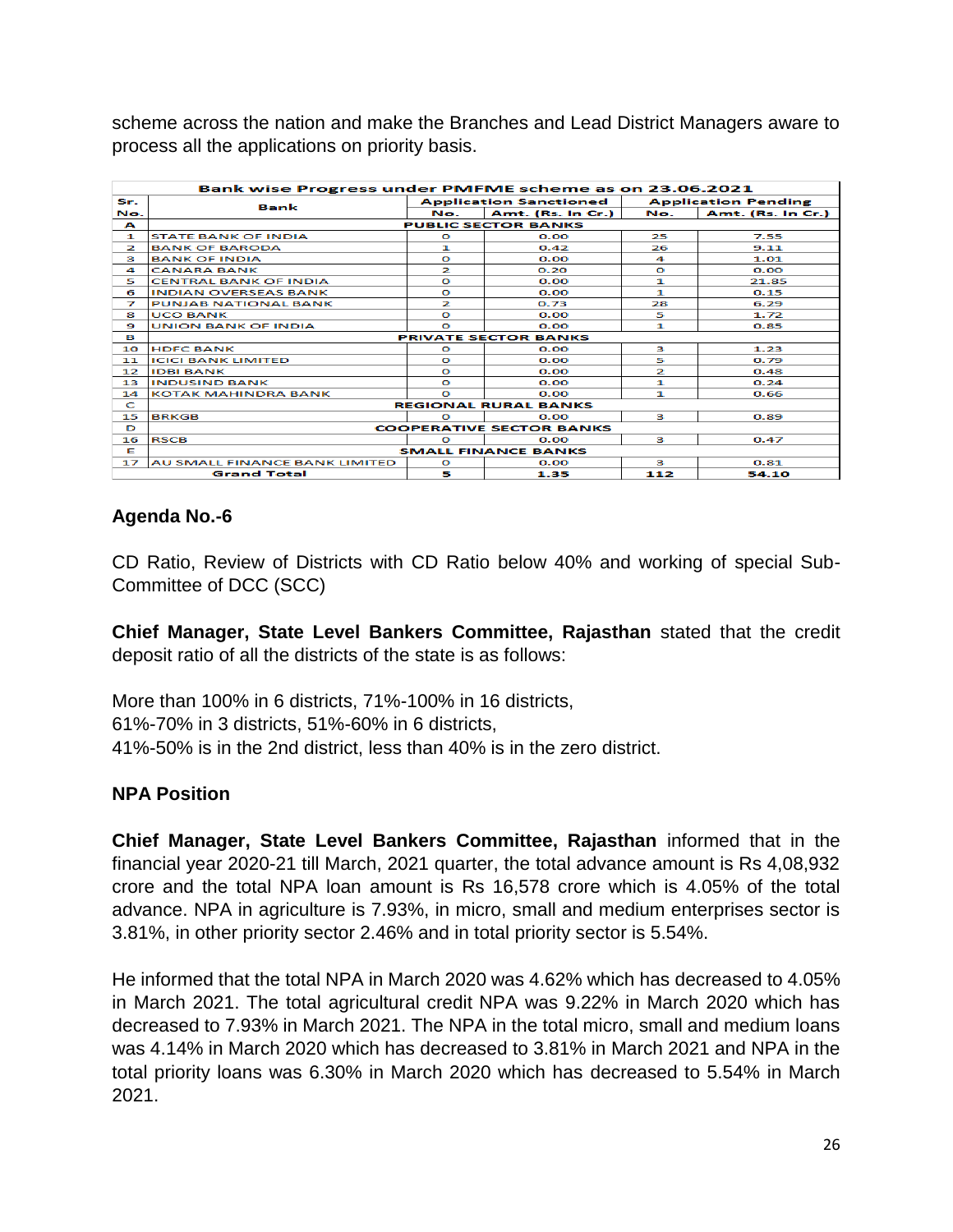scheme across the nation and make the Branches and Lead District Managers aware to process all the applications on priority basis.

|                         | Bank wise Progress under PMFME scheme as on 23.06.2021 |             |                                 |          |                            |  |  |  |  |  |  |
|-------------------------|--------------------------------------------------------|-------------|---------------------------------|----------|----------------------------|--|--|--|--|--|--|
| Sr.                     | Bank                                                   |             | <b>Application Sanctioned</b>   |          | <b>Application Pending</b> |  |  |  |  |  |  |
| No.                     |                                                        | No.         | Amt. (Rs. In Cr.)               | No.      | Amt. (Rs. In Cr.)          |  |  |  |  |  |  |
| A                       |                                                        |             | <b>PUBLIC SECTOR BANKS</b>      |          |                            |  |  |  |  |  |  |
| 1                       | <b>STATE BANK OF INDIA</b>                             | $\circ$     | 0.00                            | 25       | 7.55                       |  |  |  |  |  |  |
| $\overline{\mathbf{z}}$ | <b>BANK OF BARODA</b>                                  | 1           | 0.42                            | 26.      | 9.11                       |  |  |  |  |  |  |
| з                       | <b>BANK OF INDIA</b>                                   | $\Omega$    | 0.00                            | 4        | 1.01                       |  |  |  |  |  |  |
| 4                       | <b>CANARA BANK</b>                                     | 2           | 0.20                            | $\Omega$ | 0.00                       |  |  |  |  |  |  |
| 5                       | <b>CENTRAL BANK OF INDIA</b>                           | $\Omega$    | 0.00                            | 1        | 21.85                      |  |  |  |  |  |  |
| 6                       | <b>INDIAN OVERSEAS BANK</b>                            | $\Omega$    | 0.00                            | 1        | 0.15                       |  |  |  |  |  |  |
| 7                       | <b>PUNJAB NATIONAL BANK</b>                            | 2           | 0.73                            | 28       | 6.29                       |  |  |  |  |  |  |
| 8                       | <b>UCO BANK</b>                                        | $\Omega$    | 0.00                            | 5        | 1.72                       |  |  |  |  |  |  |
| 9                       | <b>UNION BANK OF INDIA</b>                             | $\circ$     | 0.00                            | 1        | 0.85                       |  |  |  |  |  |  |
| в                       |                                                        |             | <b>PRIVATE SECTOR BANKS</b>     |          |                            |  |  |  |  |  |  |
| 10                      | <b>HDEC BANK</b>                                       | $\Omega$    | 0.00                            | з        | 1.23                       |  |  |  |  |  |  |
| 11                      | <b>ICICI BANK LIMITED</b>                              | $\Omega$    | 0.00                            | 5        | 0.79                       |  |  |  |  |  |  |
| $12^{12}$               | <b>IIDBI BANK</b>                                      | $\Omega$    | 0.00                            | 2        | 0.48                       |  |  |  |  |  |  |
| 13                      | <b>INDUSIND BANK</b>                                   | $\Omega$    | 0.00                            | 1        | 0.24                       |  |  |  |  |  |  |
| 14                      | <b>KOTAK MAHINDRA BANK</b>                             | $\mathbf o$ | 0.00                            | 1        | 0.66                       |  |  |  |  |  |  |
| C                       |                                                        |             | <b>REGIONAL RURAL BANKS</b>     |          |                            |  |  |  |  |  |  |
| 15                      | <b>BRKGB</b>                                           | $\circ$     | 0.00                            | з        | 0.89                       |  |  |  |  |  |  |
| D                       |                                                        |             | <b>COOPERATIVE SECTOR BANKS</b> |          |                            |  |  |  |  |  |  |
| 16                      | <b>RSCB</b>                                            | $\Omega$    | 0.00                            | з        | 0.47                       |  |  |  |  |  |  |
| Е                       |                                                        |             | <b>SMALL FINANCE BANKS</b>      |          |                            |  |  |  |  |  |  |
| 17                      | AU SMALL FINANCE BANK LIMITED                          | $\Omega$    | 0.00                            | з        | 0.81                       |  |  |  |  |  |  |
|                         | <b>Grand Total</b>                                     | 5           | 1.35                            | 112      | 54.10                      |  |  |  |  |  |  |

# **Agenda No.-6**

CD Ratio, Review of Districts with CD Ratio below 40% and working of special Sub-Committee of DCC (SCC)

**Chief Manager, State Level Bankers Committee, Rajasthan** stated that the credit deposit ratio of all the districts of the state is as follows:

More than 100% in 6 districts, 71%-100% in 16 districts, 61%-70% in 3 districts, 51%-60% in 6 districts, 41%-50% is in the 2nd district, less than 40% is in the zero district.

# **NPA Position**

**Chief Manager, State Level Bankers Committee, Rajasthan** informed that in the financial year 2020-21 till March, 2021 quarter, the total advance amount is Rs 4,08,932 crore and the total NPA loan amount is Rs 16,578 crore which is 4.05% of the total advance. NPA in agriculture is 7.93%, in micro, small and medium enterprises sector is 3.81%, in other priority sector 2.46% and in total priority sector is 5.54%.

He informed that the total NPA in March 2020 was 4.62% which has decreased to 4.05% in March 2021. The total agricultural credit NPA was 9.22% in March 2020 which has decreased to 7.93% in March 2021. The NPA in the total micro, small and medium loans was 4.14% in March 2020 which has decreased to 3.81% in March 2021 and NPA in the total priority loans was 6.30% in March 2020 which has decreased to 5.54% in March 2021.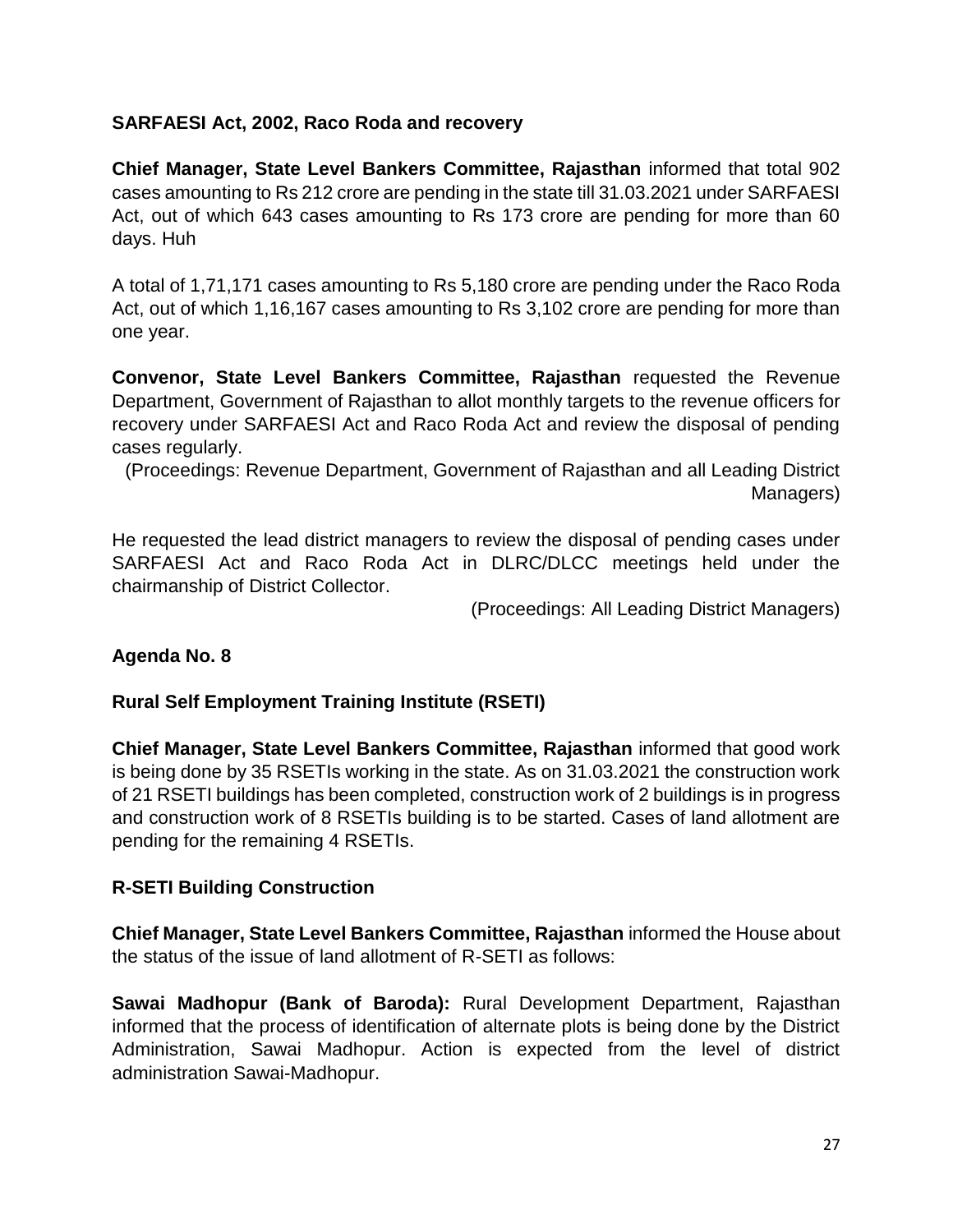#### **SARFAESI Act, 2002, Raco Roda and recovery**

**Chief Manager, State Level Bankers Committee, Rajasthan** informed that total 902 cases amounting to Rs 212 crore are pending in the state till 31.03.2021 under SARFAESI Act, out of which 643 cases amounting to Rs 173 crore are pending for more than 60 days. Huh

A total of 1,71,171 cases amounting to Rs 5,180 crore are pending under the Raco Roda Act, out of which 1,16,167 cases amounting to Rs 3,102 crore are pending for more than one year.

**Convenor, State Level Bankers Committee, Rajasthan** requested the Revenue Department, Government of Rajasthan to allot monthly targets to the revenue officers for recovery under SARFAESI Act and Raco Roda Act and review the disposal of pending cases regularly.

(Proceedings: Revenue Department, Government of Rajasthan and all Leading District Managers)

He requested the lead district managers to review the disposal of pending cases under SARFAESI Act and Raco Roda Act in DLRC/DLCC meetings held under the chairmanship of District Collector.

(Proceedings: All Leading District Managers)

# **Agenda No. 8**

#### **Rural Self Employment Training Institute (RSETI)**

**Chief Manager, State Level Bankers Committee, Rajasthan** informed that good work is being done by 35 RSETIs working in the state. As on 31.03.2021 the construction work of 21 RSETI buildings has been completed, construction work of 2 buildings is in progress and construction work of 8 RSETIs building is to be started. Cases of land allotment are pending for the remaining 4 RSETIs.

#### **R-SETI Building Construction**

**Chief Manager, State Level Bankers Committee, Rajasthan** informed the House about the status of the issue of land allotment of R-SETI as follows:

**Sawai Madhopur (Bank of Baroda):** Rural Development Department, Rajasthan informed that the process of identification of alternate plots is being done by the District Administration, Sawai Madhopur. Action is expected from the level of district administration Sawai-Madhopur.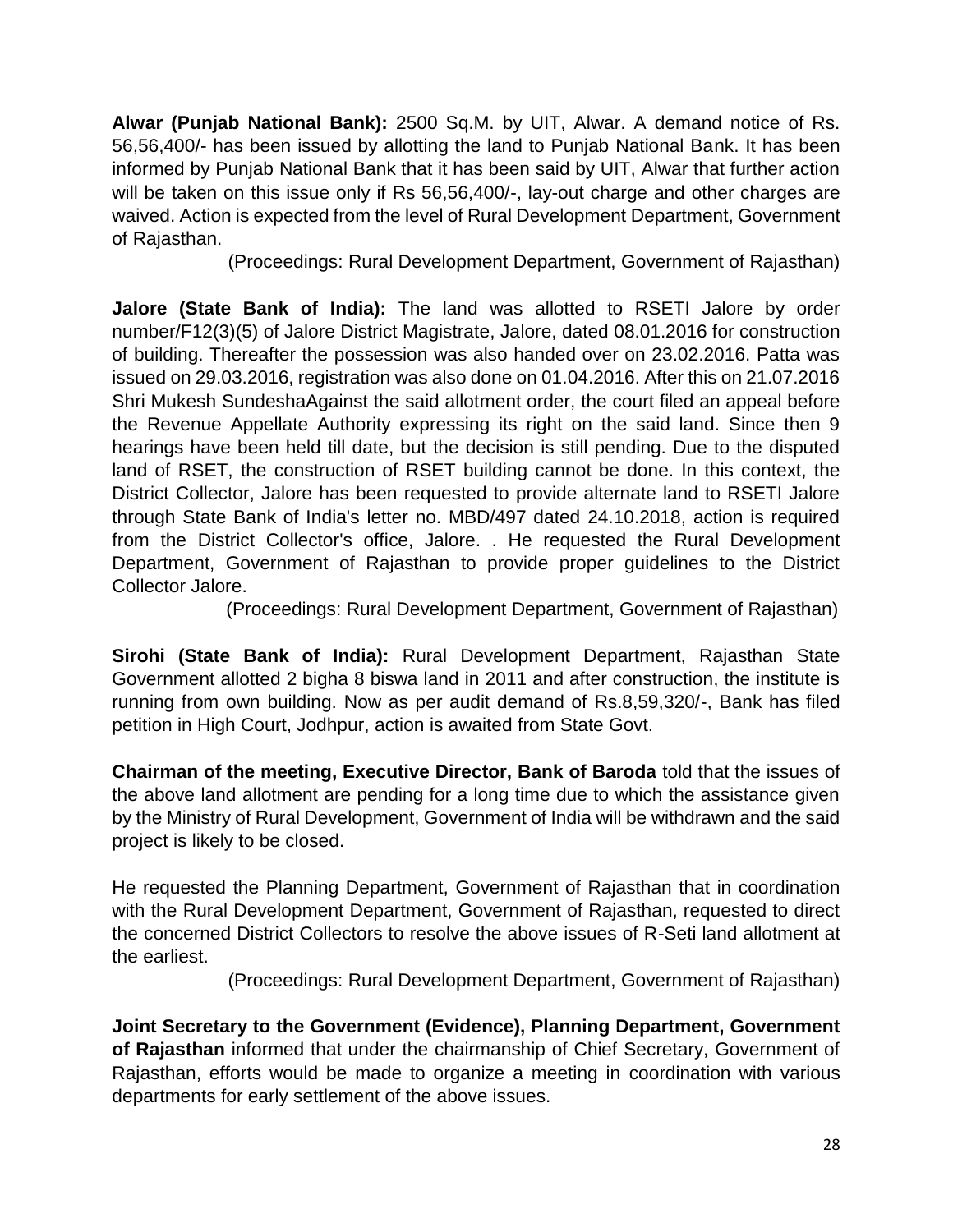**Alwar (Punjab National Bank):** 2500 Sq.M. by UIT, Alwar. A demand notice of Rs. 56,56,400/- has been issued by allotting the land to Punjab National Bank. It has been informed by Punjab National Bank that it has been said by UIT, Alwar that further action will be taken on this issue only if Rs 56,56,400/-, lay-out charge and other charges are waived. Action is expected from the level of Rural Development Department, Government of Rajasthan.

(Proceedings: Rural Development Department, Government of Rajasthan)

**Jalore (State Bank of India):** The land was allotted to RSETI Jalore by order number/F12(3)(5) of Jalore District Magistrate, Jalore, dated 08.01.2016 for construction of building. Thereafter the possession was also handed over on 23.02.2016. Patta was issued on 29.03.2016, registration was also done on 01.04.2016. After this on 21.07.2016 Shri Mukesh SundeshaAgainst the said allotment order, the court filed an appeal before the Revenue Appellate Authority expressing its right on the said land. Since then 9 hearings have been held till date, but the decision is still pending. Due to the disputed land of RSET, the construction of RSET building cannot be done. In this context, the District Collector, Jalore has been requested to provide alternate land to RSETI Jalore through State Bank of India's letter no. MBD/497 dated 24.10.2018, action is required from the District Collector's office, Jalore. . He requested the Rural Development Department, Government of Rajasthan to provide proper guidelines to the District Collector Jalore.

(Proceedings: Rural Development Department, Government of Rajasthan)

**Sirohi (State Bank of India):** Rural Development Department, Rajasthan State Government allotted 2 bigha 8 biswa land in 2011 and after construction, the institute is running from own building. Now as per audit demand of Rs.8,59,320/-, Bank has filed petition in High Court, Jodhpur, action is awaited from State Govt.

**Chairman of the meeting, Executive Director, Bank of Baroda** told that the issues of the above land allotment are pending for a long time due to which the assistance given by the Ministry of Rural Development, Government of India will be withdrawn and the said project is likely to be closed.

He requested the Planning Department, Government of Rajasthan that in coordination with the Rural Development Department, Government of Rajasthan, requested to direct the concerned District Collectors to resolve the above issues of R-Seti land allotment at the earliest.

(Proceedings: Rural Development Department, Government of Rajasthan)

**Joint Secretary to the Government (Evidence), Planning Department, Government of Rajasthan** informed that under the chairmanship of Chief Secretary, Government of Rajasthan, efforts would be made to organize a meeting in coordination with various departments for early settlement of the above issues.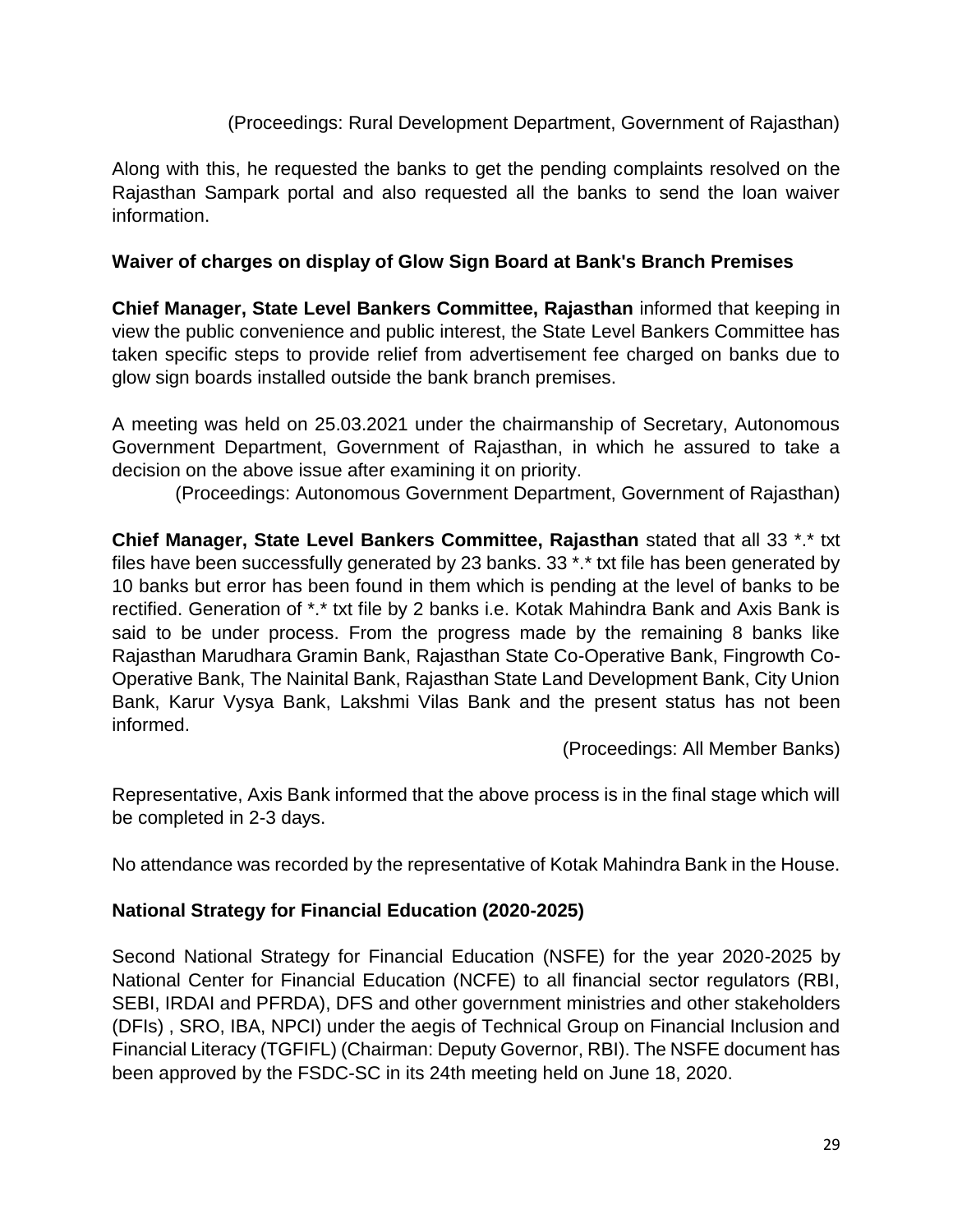# (Proceedings: Rural Development Department, Government of Rajasthan)

Along with this, he requested the banks to get the pending complaints resolved on the Rajasthan Sampark portal and also requested all the banks to send the loan waiver information.

#### **Waiver of charges on display of Glow Sign Board at Bank's Branch Premises**

**Chief Manager, State Level Bankers Committee, Rajasthan** informed that keeping in view the public convenience and public interest, the State Level Bankers Committee has taken specific steps to provide relief from advertisement fee charged on banks due to glow sign boards installed outside the bank branch premises.

A meeting was held on 25.03.2021 under the chairmanship of Secretary, Autonomous Government Department, Government of Rajasthan, in which he assured to take a decision on the above issue after examining it on priority.

(Proceedings: Autonomous Government Department, Government of Rajasthan)

**Chief Manager, State Level Bankers Committee, Rajasthan** stated that all 33 \*.\* txt files have been successfully generated by 23 banks. 33 \*.\* txt file has been generated by 10 banks but error has been found in them which is pending at the level of banks to be rectified. Generation of \*.\* txt file by 2 banks i.e. Kotak Mahindra Bank and Axis Bank is said to be under process. From the progress made by the remaining 8 banks like Rajasthan Marudhara Gramin Bank, Rajasthan State Co-Operative Bank, Fingrowth Co-Operative Bank, The Nainital Bank, Rajasthan State Land Development Bank, City Union Bank, Karur Vysya Bank, Lakshmi Vilas Bank and the present status has not been informed.

(Proceedings: All Member Banks)

Representative, Axis Bank informed that the above process is in the final stage which will be completed in 2-3 days.

No attendance was recorded by the representative of Kotak Mahindra Bank in the House.

# **National Strategy for Financial Education (2020-2025)**

Second National Strategy for Financial Education (NSFE) for the year 2020-2025 by National Center for Financial Education (NCFE) to all financial sector regulators (RBI, SEBI, IRDAI and PFRDA), DFS and other government ministries and other stakeholders (DFIs) , SRO, IBA, NPCI) under the aegis of Technical Group on Financial Inclusion and Financial Literacy (TGFIFL) (Chairman: Deputy Governor, RBI). The NSFE document has been approved by the FSDC-SC in its 24th meeting held on June 18, 2020.